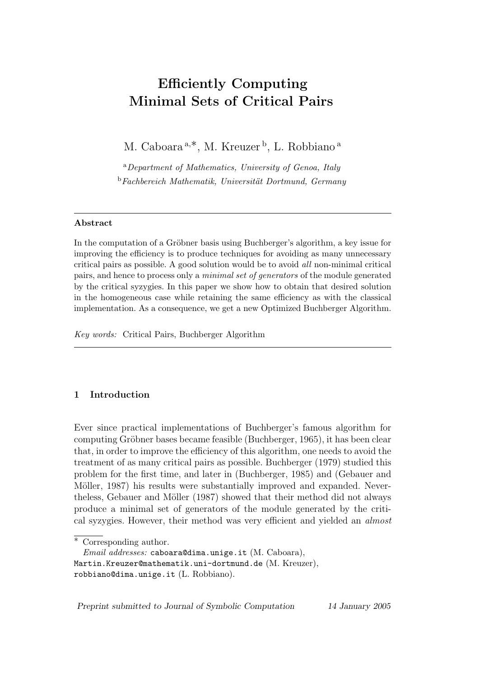# Efficiently Computing Minimal Sets of Critical Pairs

M. Caboara<sup>a,\*</sup>, M. Kreuzer<sup>b</sup>, L. Robbiano<sup>a</sup>

<sup>a</sup>Department of Mathematics, University of Genoa, Italy  $<sup>b</sup> Each bereich Mathematik, Universität *Dortmund*, Germany$ </sup>

#### Abstract

In the computation of a Gröbner basis using Buchberger's algorithm, a key issue for improving the efficiency is to produce techniques for avoiding as many unnecessary critical pairs as possible. A good solution would be to avoid all non-minimal critical pairs, and hence to process only a minimal set of generators of the module generated by the critical syzygies. In this paper we show how to obtain that desired solution in the homogeneous case while retaining the same efficiency as with the classical implementation. As a consequence, we get a new Optimized Buchberger Algorithm.

Key words: Critical Pairs, Buchberger Algorithm

# 1 Introduction

Ever since practical implementations of Buchberger's famous algorithm for computing Gröbner bases became feasible (Buchberger, 1965), it has been clear that, in order to improve the efficiency of this algorithm, one needs to avoid the treatment of as many critical pairs as possible. Buchberger (1979) studied this problem for the first time, and later in (Buchberger, 1985) and (Gebauer and Möller, 1987) his results were substantially improved and expanded. Neverthe less. Gebauer and Möller (1987) showed that their method did not always produce a minimal set of generators of the module generated by the critical syzygies. However, their method was very efficient and yielded an almost

Corresponding author.

Preprint submitted to Journal of Symbolic Computation 14 January 2005

Email addresses: caboara@dima.unige.it (M. Caboara), Martin.Kreuzer@mathematik.uni-dortmund.de (M. Kreuzer), robbiano@dima.unige.it (L. Robbiano).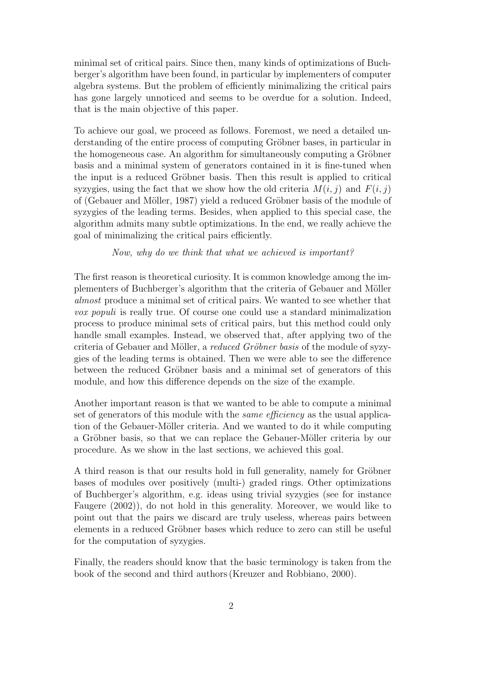minimal set of critical pairs. Since then, many kinds of optimizations of Buchberger's algorithm have been found, in particular by implementers of computer algebra systems. But the problem of efficiently minimalizing the critical pairs has gone largely unnoticed and seems to be overdue for a solution. Indeed, that is the main objective of this paper.

To achieve our goal, we proceed as follows. Foremost, we need a detailed understanding of the entire process of computing Gröbner bases, in particular in the homogeneous case. An algorithm for simultaneously computing a Gröbner basis and a minimal system of generators contained in it is fine-tuned when the input is a reduced Gröbner basis. Then this result is applied to critical syzygies, using the fact that we show how the old criteria  $M(i, j)$  and  $F(i, j)$ of (Gebauer and Möller, 1987) yield a reduced Gröbner basis of the module of syzygies of the leading terms. Besides, when applied to this special case, the algorithm admits many subtle optimizations. In the end, we really achieve the goal of minimalizing the critical pairs efficiently.

# Now, why do we think that what we achieved is important?

The first reason is theoretical curiosity. It is common knowledge among the implementers of Buchberger's algorithm that the criteria of Gebauer and Möller almost produce a minimal set of critical pairs. We wanted to see whether that vox populi is really true. Of course one could use a standard minimalization process to produce minimal sets of critical pairs, but this method could only handle small examples. Instead, we observed that, after applying two of the criteria of Gebauer and Möller, a reduced Gröbner basis of the module of syzygies of the leading terms is obtained. Then we were able to see the difference between the reduced Gröbner basis and a minimal set of generators of this module, and how this difference depends on the size of the example.

Another important reason is that we wanted to be able to compute a minimal set of generators of this module with the *same efficiency* as the usual application of the Gebauer-Möller criteria. And we wanted to do it while computing a Gröbner basis, so that we can replace the Gebauer-Möller criteria by our procedure. As we show in the last sections, we achieved this goal.

A third reason is that our results hold in full generality, namely for Gröbner bases of modules over positively (multi-) graded rings. Other optimizations of Buchberger's algorithm, e.g. ideas using trivial syzygies (see for instance Faugere (2002)), do not hold in this generality. Moreover, we would like to point out that the pairs we discard are truly useless, whereas pairs between elements in a reduced Gröbner bases which reduce to zero can still be useful for the computation of syzygies.

Finally, the readers should know that the basic terminology is taken from the book of the second and third authors (Kreuzer and Robbiano, 2000).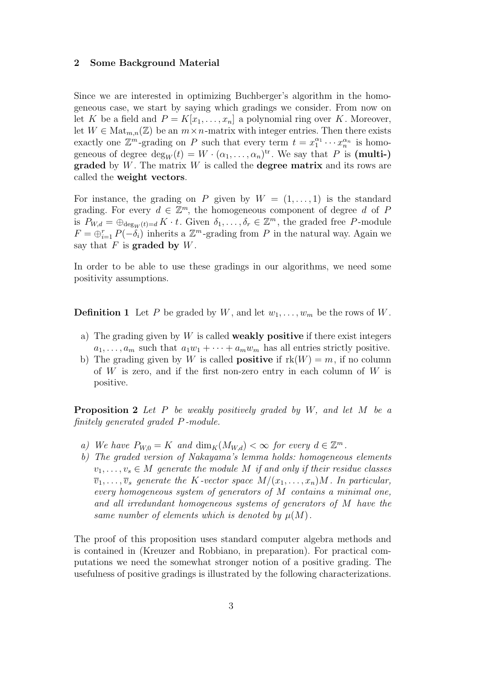#### 2 Some Background Material

Since we are interested in optimizing Buchberger's algorithm in the homogeneous case, we start by saying which gradings we consider. From now on let K be a field and  $P = K[x_1, \ldots, x_n]$  a polynomial ring over K. Moreover, let  $W \in \text{Mat}_{m,n}(\mathbb{Z})$  be an  $m \times n$ -matrix with integer entries. Then there exists exactly one  $\mathbb{Z}^m$ -grading on P such that every term  $t = x_1^{\alpha_1} \cdots x_n^{\alpha_n}$  is homogeneous of degree  $\deg_W(t) = W \cdot (\alpha_1, \ldots, \alpha_n)^{tr}$ . We say that P is (multi-) **graded** by W. The matrix W is called the **degree matrix** and its rows are called the weight vectors.

For instance, the grading on P given by  $W = (1, \ldots, 1)$  is the standard grading. For every  $d \in \mathbb{Z}^m$ , the homogeneous component of degree d of F is  $P_{W,d} = \bigoplus_{\deg_W(t)=d} K \cdot t$ . Given  $\delta_1, \ldots, \delta_r \in \mathbb{Z}^m$ , the graded free P-module  $F = \bigoplus_{i=1}^r P(-\delta_i)$  inherits a  $\mathbb{Z}^m$ -grading from P in the natural way. Again we say that  $F$  is graded by  $W$ .

In order to be able to use these gradings in our algorithms, we need some positivity assumptions.

**Definition 1** Let P be graded by W, and let  $w_1, \ldots, w_m$  be the rows of W.

- a) The grading given by  $W$  is called **weakly positive** if there exist integers  $a_1, \ldots, a_m$  such that  $a_1w_1 + \cdots + a_mw_m$  has all entries strictly positive.
- b) The grading given by W is called **positive** if  $rk(W) = m$ , if no column of  $W$  is zero, and if the first non-zero entry in each column of  $W$  is positive.

**Proposition 2** Let P be weakly positively graded by W, and let M be a finitely generated graded P -module.

- a) We have  $P_{W,0} = K$  and  $\dim_K(M_{W,d}) < \infty$  for every  $d \in \mathbb{Z}^m$ .
- b) The graded version of Nakayama's lemma holds: homogeneous elements  $v_1, \ldots, v_s \in M$  generate the module M if and only if their residue classes  $\overline{v}_1, \ldots, \overline{v}_s$  generate the K-vector space  $M/(x_1, \ldots, x_n)M$ . In particular, every homogeneous system of generators of M contains a minimal one, and all irredundant homogeneous systems of generators of M have the same number of elements which is denoted by  $\mu(M)$ .

The proof of this proposition uses standard computer algebra methods and is contained in (Kreuzer and Robbiano, in preparation). For practical computations we need the somewhat stronger notion of a positive grading. The usefulness of positive gradings is illustrated by the following characterizations.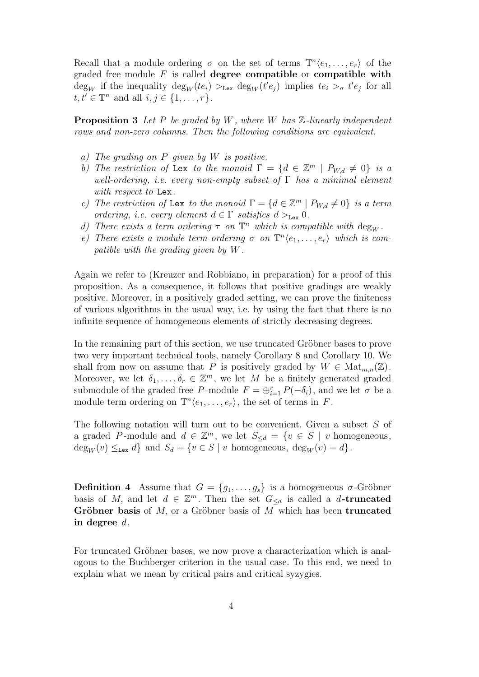Recall that a module ordering  $\sigma$  on the set of terms  $\mathbb{T}^n \langle e_1, \ldots, e_r \rangle$  of the graded free module  $F$  is called **degree compatible** or **compatible with** deg<sub>W</sub> if the inequality  $deg_W(te_i) >_{\text{Lex}} deg_W(t'e_j)$  implies  $te_i >_{\sigma} t'e_j$  for all  $t, t' \in \mathbb{T}^n$  and all  $i, j \in \{1, \ldots, r\}.$ 

**Proposition 3** Let P be graded by W, where W has  $\mathbb{Z}$ -linearly independent rows and non-zero columns. Then the following conditions are equivalent.

- a) The grading on  $P$  given by  $W$  is positive.
- b) The restriction of Lex to the monoid  $\Gamma = \{d \in \mathbb{Z}^m \mid P_{W,d} \neq 0\}$  is a well-ordering, i.e. every non-empty subset of  $\Gamma$  has a minimal element with respect to Lex.
- c) The restriction of Lex to the monoid  $\Gamma = \{d \in \mathbb{Z}^m \mid P_{W,d} \neq 0\}$  is a term ordering, i.e. every element  $d \in \Gamma$  satisfies  $d >_{\text{Lex}} 0$ .
- d) There exists a term ordering  $\tau$  on  $\mathbb{T}^n$  which is compatible with  $\deg_W$ .
- e) There exists a module term ordering  $\sigma$  on  $\mathbb{T}^n \langle e_1, \ldots, e_r \rangle$  which is compatible with the grading given by W .

Again we refer to (Kreuzer and Robbiano, in preparation) for a proof of this proposition. As a consequence, it follows that positive gradings are weakly positive. Moreover, in a positively graded setting, we can prove the finiteness of various algorithms in the usual way, i.e. by using the fact that there is no infinite sequence of homogeneous elements of strictly decreasing degrees.

In the remaining part of this section, we use truncated Gröbner bases to prove two very important technical tools, namely Corollary 8 and Corollary 10. We shall from now on assume that P is positively graded by  $W \in \text{Mat}_{m,n}(\mathbb{Z})$ . Moreover, we let  $\delta_1, \ldots, \delta_r \in \mathbb{Z}^m$ , we let M be a finitely generated graded submodule of the graded free P-module  $F = \bigoplus_{i=1}^r P(-\delta_i)$ , and we let  $\sigma$  be a module term ordering on  $\mathbb{T}^n \langle e_1, \ldots, e_r \rangle$ , the set of terms in F.

The following notation will turn out to be convenient. Given a subset S of a graded P-module and  $d \in \mathbb{Z}^m$ , we let  $S_{\leq d} = \{v \in S \mid v \text{ homogeneous},$  $\deg_W(v) \leq_{\text{Lex}} d$  and  $S_d = \{v \in S \mid v \text{ homogeneous}, \deg_W(v) = d\}.$ 

**Definition 4** Assume that  $G = \{g_1, \ldots, g_s\}$  is a homogeneous  $\sigma$ -Gröbner basis of M, and let  $d \in \mathbb{Z}^m$ . Then the set  $G_{\leq d}$  is called a d-truncated Gröbner basis of  $M$ , or a Gröbner basis of  $M$  which has been truncated in degree d.

For truncated Gröbner bases, we now prove a characterization which is analogous to the Buchberger criterion in the usual case. To this end, we need to explain what we mean by critical pairs and critical syzygies.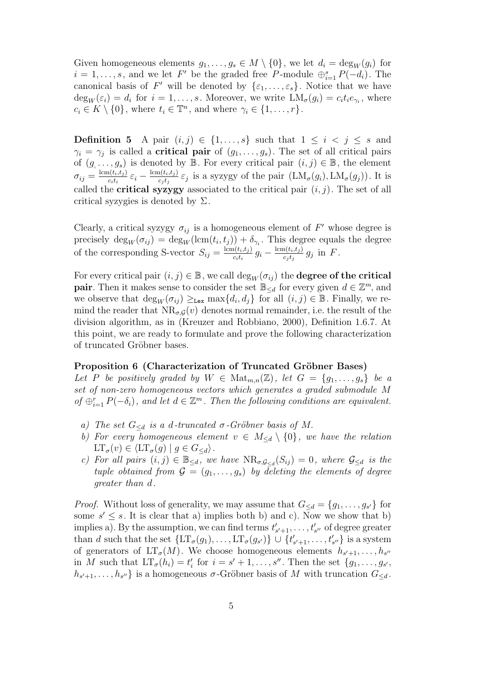Given homogeneous elements  $g_1, \ldots, g_s \in M \setminus \{0\}$ , we let  $d_i = \deg_W(g_i)$  for  $i = 1, \ldots, s$ , and we let F' be the graded free P-module  $\bigoplus_{i=1}^{s} P(-d_i)$ . The canonical basis of F' will be denoted by  $\{\varepsilon_1, \ldots, \varepsilon_s\}$ . Notice that we have  $\deg_W(\varepsilon_i) = d_i$  for  $i = 1, \ldots, s$ . Moreover, we write  $LM_{\sigma}(g_i) = c_i t_i e_{\gamma_i}$ , where  $c_i \in K \setminus \{0\}$ , where  $t_i \in \mathbb{T}^n$ , and where  $\gamma_i \in \{1, \ldots, r\}$ .

**Definition 5** A pair  $(i, j) \in \{1, \ldots, s\}$  such that  $1 \leq i \leq j \leq s$  and  $\gamma_i = \gamma_j$  is called a **critical pair** of  $(g_1, \ldots, g_s)$ . The set of all critical pairs of  $(g, \ldots, g_s)$  is denoted by  $\mathbb B$ . For every critical pair  $(i, j) \in \mathbb B$ , the element  $\sigma_{ij} = \frac{\text{lcm}(t_i,t_j)}{c_i t_i}$  $\frac{\ln(t_i,t_j)}{c_it_i}\,\varepsilon_i-\frac{\,\mathrm{lcm}(t_i,t_j)}{c_jt_j}$  $\frac{\partial g(t_i,t_j)}{\partial t_j} \varepsilon_j$  is a syzygy of the pair  $(LM_{\sigma}(g_i), LM_{\sigma}(g_j))$ . It is called the **critical syzygy** associated to the critical pair  $(i, j)$ . The set of all critical syzygies is denoted by  $\Sigma$ .

Clearly, a critical syzygy  $\sigma_{ij}$  is a homogeneous element of  $F'$  whose degree is precisely  $\deg_W(\sigma_{ij}) = \deg_W(\text{lcm}(t_i, t_j)) + \delta_{\gamma_i}$ . This degree equals the degree of the corresponding S-vector  $S_{ij} = \frac{\text{lcm}(t_i,t_j)}{c_i t_i}$  $\frac{\ln(t_i,t_j)}{c_it_i}\,g_i - \frac{\text{lcm}(t_i,t_j)}{c_jt_j}$  $\frac{a(t_i,t_j)}{c_jt_j}g_j$  in  $F$ .

For every critical pair  $(i, j) \in \mathbb{B}$ , we call  $\deg_W(\sigma_{ij})$  the **degree of the critical pair**. Then it makes sense to consider the set  $\mathbb{B}_{\leq d}$  for every given  $d \in \mathbb{Z}^m$ , and we observe that  $\deg_W(\sigma_{ij}) \geq_{\text{Lex}} \max\{d_i, d_j\}$  for all  $(i, j) \in \mathbb{B}$ . Finally, we remind the reader that  $NR_{\sigma,\mathcal{G}}(v)$  denotes normal remainder, i.e. the result of the division algorithm, as in (Kreuzer and Robbiano, 2000), Definition 1.6.7. At this point, we are ready to formulate and prove the following characterization of truncated Gröbner bases.

## Proposition 6 (Characterization of Truncated Gröbner Bases)

Let P be positively graded by  $W \in \text{Mat}_{m,n}(\mathbb{Z})$ , let  $G = \{g_1, \ldots, g_s\}$  be a set of non-zero homogeneous vectors which generates a graded submodule M of  $\bigoplus_{i=1}^r P(-\delta_i)$ , and let  $d \in \mathbb{Z}^m$ . Then the following conditions are equivalent.

- a) The set  $G_{\leq d}$  is a d-truncated  $\sigma$ -Gröbner basis of M.
- b) For every homogeneous element  $v \in M_{\leq d} \setminus \{0\}$ , we have the relation  $LT_{\sigma}(v) \in \langle LT_{\sigma}(g) | g \in G_{\leq d} \rangle.$
- c) For all pairs  $(i, j) \in \mathbb{B}_{\leq d}$ , we have  $NR_{\sigma, \mathcal{G}_{\leq d}}(S_{ij}) = 0$ , where  $\mathcal{G}_{\leq d}$  is the tuple obtained from  $\mathcal{G} = (g_1, \ldots, g_s)$  by deleting the elements of degree greater than d.

*Proof.* Without loss of generality, we may assume that  $G_{\leq d} = \{g_1, \ldots, g_{s'}\}$  for some  $s' \leq s$ . It is clear that a) implies both b) and c). Now we show that b) implies a). By the assumption, we can find terms  $t'_{s'+1}, \ldots, t'_{s''}$  of degree greater than d such that the set  $\{\mathrm{LT}_{\sigma}(g_1), \ldots, \mathrm{LT}_{\sigma}(g_{s'})\} \cup \{t'_{s'+1}, \ldots, t'_{s''}\}\$ is a system of generators of  $LT_{\sigma}(M)$ . We choose homogeneous elements  $h_{s'+1}, \ldots, h_{s''}$ in M such that  $LT_{\sigma}(h_i) = t'_i$  for  $i = s' + 1, \ldots, s''$ . Then the set  $\{g_1, \ldots, g_{s'}\}$  $h_{s'+1}, \ldots, h_{s''}$  is a homogeneous  $\sigma$ -Gröbner basis of M with truncation  $G_{\leq d}$ .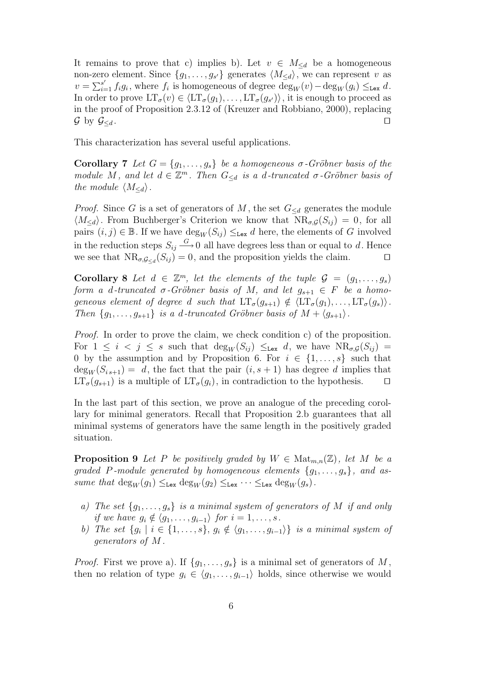It remains to prove that c) implies b). Let  $v \in M_{\leq d}$  be a homogeneous non-zero element. Since  $\{g_1, \ldots, g_{s'}\}$  generates  $\langle M_{\le d} \rangle$ , we can represent v as  $v = \sum_{i=1}^{s'} f_i g_i$ , where  $f_i$  is homogeneous of degree  $\deg_W(v) - \deg_W(g_i) \leq_{\text{Lex}} d$ . In order to prove  $LT_{\sigma}(v) \in \langle LT_{\sigma}(g_1), \ldots, LT_{\sigma}(g_{s'})\rangle$ , it is enough to proceed as in the proof of Proposition 2.3.12 of (Kreuzer and Robbiano, 2000), replacing  $G$  by  $\mathcal{G}_{\leq d}$ .

This characterization has several useful applications.

Corollary 7 Let  $G = \{g_1, \ldots, g_s\}$  be a homogeneous  $\sigma$ -Gröbner basis of the module M, and let  $d \in \mathbb{Z}^m$ . Then  $G_{\leq d}$  is a d-truncated  $\sigma$ -Gröbner basis of the module  $\langle M_{\leq d} \rangle$ .

*Proof.* Since G is a set of generators of M, the set  $G_{\leq d}$  generates the module  $\langle M_{\leq d} \rangle$ . From Buchberger's Criterion we know that  $NR_{\sigma,G}(S_{ij}) = 0$ , for all pairs  $(i, j) \in \mathbb{B}$ . If we have  $\deg_W(S_{ij}) \leq_{\text{Lex}} d$  here, the elements of G involved in the reduction steps  $S_{ij} \stackrel{G}{\longrightarrow} 0$  all have degrees less than or equal to d. Hence we see that  $NR_{\sigma, \mathcal{G}_{\leq d}}(S_{ij}) = 0$ , and the proposition yields the claim.

Corollary 8 Let  $d \in \mathbb{Z}^m$ , let the elements of the tuple  $\mathcal{G} = (g_1, \ldots, g_s)$ form a d-truncated  $\sigma$ -Gröbner basis of M, and let  $g_{s+1} \in F$  be a homogeneous element of degree d such that  $LT_{\sigma}(g_{s+1}) \notin \langle LT_{\sigma}(g_1), \ldots, LT_{\sigma}(g_s)\rangle$ . Then  $\{g_1, \ldots, g_{s+1}\}\$ is a d-truncated Gröbner basis of  $M + \langle g_{s+1} \rangle$ .

Proof. In order to prove the claim, we check condition c) of the proposition. For  $1 \leq i \leq j \leq s$  such that  $\deg_W(S_{ij}) \leq_{\text{Lex}} d$ , we have  $\text{NR}_{\sigma,G}(S_{ij})$  = 0 by the assumption and by Proposition 6. For  $i \in \{1, \ldots, s\}$  such that  $deg_W(S_{is+1}) = d$ , the fact that the pair  $(i, s+1)$  has degree d implies that  $LT_{\sigma}(g_{s+1})$  is a multiple of  $LT_{\sigma}(g_i)$ , in contradiction to the hypothesis.  $\square$ 

In the last part of this section, we prove an analogue of the preceding corollary for minimal generators. Recall that Proposition 2.b guarantees that all minimal systems of generators have the same length in the positively graded situation.

**Proposition 9** Let P be positively graded by  $W \in Mat_{m,n}(\mathbb{Z})$ , let M be a graded P-module generated by homogeneous elements  ${g_1, \ldots, g_s}$ , and assume that  $\deg_W(g_1) \leq_{\text{Lex}} \deg_W(g_2) \leq_{\text{Lex}} \cdots \leq_{\text{Lex}} \deg_W(g_s)$ .

- a) The set  $\{g_1, \ldots, g_s\}$  is a minimal system of generators of M if and only if we have  $g_i \notin \langle g_1, \ldots, g_{i-1} \rangle$  for  $i = 1, \ldots, s$ .
- b) The set  $\{g_i \mid i \in \{1, \ldots, s\}, g_i \notin \langle g_1, \ldots, g_{i-1} \rangle\}$  is a minimal system of generators of M .

*Proof.* First we prove a). If  $\{g_1, \ldots, g_s\}$  is a minimal set of generators of M, then no relation of type  $g_i \in \langle g_1, \ldots, g_{i-1} \rangle$  holds, since otherwise we would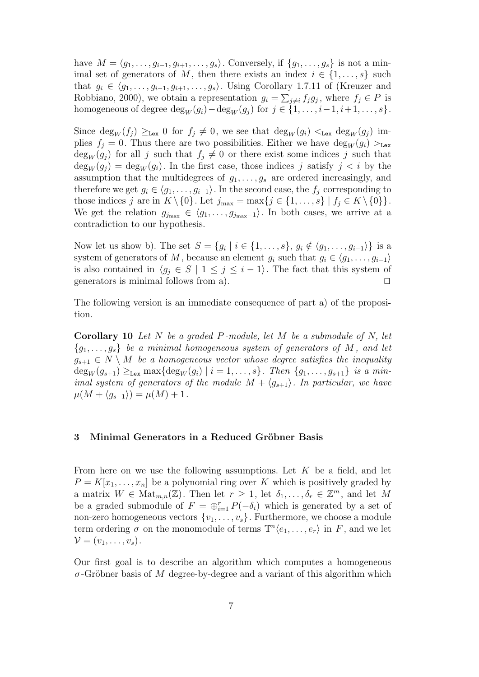have  $M = \langle g_1, \ldots, g_{i-1}, g_{i+1}, \ldots, g_s \rangle$ . Conversely, if  $\{g_1, \ldots, g_s\}$  is not a minimal set of generators of M, then there exists an index  $i \in \{1, \ldots, s\}$  such that  $g_i \in \langle g_1, \ldots, g_{i-1}, g_{i+1}, \ldots, g_s \rangle$ . Using Corollary 1.7.11 of (Kreuzer and Robbiano, 2000), we obtain a representation  $g_i = \sum_{j \neq i} f_j g_j$ , where  $f_j \in P$  is homogeneous of degree  $\deg_W(q_i)-\deg_W(q_j)$  for  $j \in \{1, \ldots, i-1, i+1, \ldots, s\}.$ 

Since  $\deg_W(f_j) \geq_{\text{Lex}} 0$  for  $f_j \neq 0$ , we see that  $\deg_W(g_i) <_{\text{Lex}} \deg_W(g_j)$  implies  $f_j = 0$ . Thus there are two possibilities. Either we have  $\deg_W(g_i) >_{\text{Lex}}$  $deg_W(g_j)$  for all j such that  $f_j \neq 0$  or there exist some indices j such that  $deg_W(g_i) = deg_W(g_i)$ . In the first case, those indices j satisfy  $j < i$  by the assumption that the multidegrees of  $g_1, \ldots, g_s$  are ordered increasingly, and therefore we get  $g_i \in \langle g_1, \ldots, g_{i-1} \rangle$ . In the second case, the  $f_i$  corresponding to those indices j are in  $K \setminus \{0\}$ . Let  $j_{\max} = \max\{j \in \{1, ..., s\} \mid f_j \in K \setminus \{0\}\}.$ We get the relation  $g_{j_{\text{max}}} \in \langle g_1, \ldots, g_{j_{\text{max}}-1} \rangle$ . In both cases, we arrive at a contradiction to our hypothesis.

Now let us show b). The set  $S = \{g_i \mid i \in \{1, \ldots, s\}, g_i \notin \langle g_1, \ldots, g_{i-1} \rangle\}$  is a system of generators of M, because an element  $g_i$  such that  $g_i \in \langle g_1, \ldots, g_{i-1} \rangle$ is also contained in  $\langle g_i \in S \mid 1 \leq j \leq i - 1 \rangle$ . The fact that this system of generators is minimal follows from a).  $\square$ 

The following version is an immediate consequence of part a) of the proposition.

**Corollary 10** Let  $N$  be a graded  $P$ -module, let  $M$  be a submodule of  $N$ , let  ${g_1, \ldots, g_s}$  be a minimal homogeneous system of generators of M, and let  $g_{s+1} \in N \setminus M$  be a homogeneous vector whose degree satisfies the inequality  $deg_W(g_{s+1}) \geq_{\text{Lex}} \max\{deg_W(g_i) \mid i = 1, \ldots, s\}.$  Then  $\{g_1, \ldots, g_{s+1}\}\$  is a minimal system of generators of the module  $M + \langle g_{s+1} \rangle$ . In particular, we have  $\mu(M + \langle g_{s+1} \rangle) = \mu(M) + 1.$ 

#### 3 Minimal Generators in a Reduced Gröbner Basis

From here on we use the following assumptions. Let  $K$  be a field, and let  $P = K[x_1, \ldots, x_n]$  be a polynomial ring over K which is positively graded by a matrix  $W \in \text{Mat}_{m,n}(\mathbb{Z})$ . Then let  $r \geq 1$ , let  $\delta_1, \ldots, \delta_r \in \mathbb{Z}^m$ , and let M be a graded submodule of  $F = \bigoplus_{i=1}^r P(-\delta_i)$  which is generated by a set of non-zero homogeneous vectors  $\{v_1, \ldots, v_s\}$ . Furthermore, we choose a module term ordering  $\sigma$  on the monomodule of terms  $\mathbb{T}^n \langle e_1, \ldots, e_r \rangle$  in F, and we let  $\mathcal{V} = (v_1, \ldots, v_s).$ 

Our first goal is to describe an algorithm which computes a homogeneous  $\sigma$ -Gröbner basis of M degree-by-degree and a variant of this algorithm which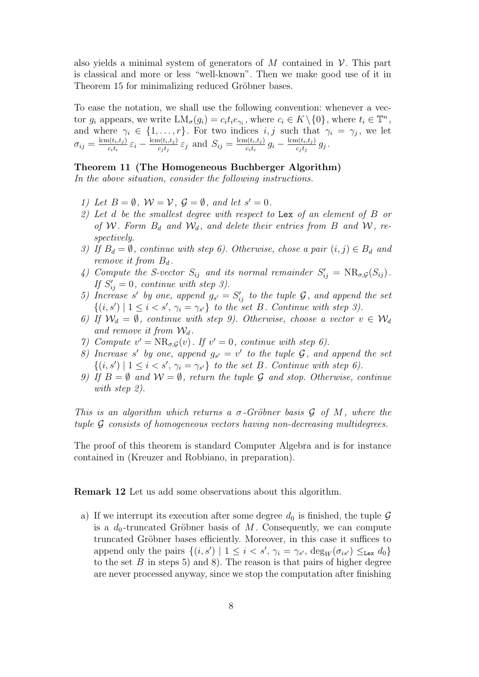also yields a minimal system of generators of M contained in  $\mathcal V$ . This part is classical and more or less "well-known". Then we make good use of it in Theorem 15 for minimalizing reduced Gröbner bases.

To ease the notation, we shall use the following convention: whenever a vector  $g_i$  appears, we write  $LM_{\sigma}(g_i) = c_i t_i e_{\gamma_i}$ , where  $c_i \in K \setminus \{0\}$ , where  $t_i \in \mathbb{T}^n$ , and where  $\gamma_i \in \{1, \ldots, r\}$ . For two indices  $i, j$  such that  $\gamma_i = \gamma_j$ , we let  $\sigma_{ij} = \frac{\text{lcm}(t_i,t_j)}{C_i t_i}$  $\frac{\ln(t_i,t_j)}{c_it_i}\,\varepsilon_i-\frac{\mathrm{lcm}(t_i,t_j)}{c_jt_j}$  $\frac{\partial \alpha_i(t_i,t_j)}{\partial c_j t_j} \varepsilon_j$  and  $S_{ij} = \frac{\text{lcm}(t_i,t_j)}{c_i t_i}$  $\frac{\ln(t_i,t_j)}{c_it_i}\,g_i - \frac{\text{lcm}(t_i,t_j)}{c_jt_j}$  $\frac{\mathfrak{a}(t_i,t_j)}{c_jt_j}\,g_j$  .

## Theorem 11 (The Homogeneous Buchberger Algorithm)

In the above situation, consider the following instructions.

- 1) Let  $B = \emptyset$ ,  $W = V$ ,  $\mathcal{G} = \emptyset$ , and let  $s' = 0$ .
- 2) Let d be the smallest degree with respect to Lex of an element of B or of W. Form  $B_d$  and  $W_d$ , and delete their entries from B and W, respectively.
- 3) If  $B_d = \emptyset$ , continue with step 6). Otherwise, chose a pair  $(i, j) \in B_d$  and remove it from  $B_d$ .
- 4) Compute the S-vector  $S_{ij}$  and its normal remainder  $S'_{ij} = NR_{\sigma,\mathcal{G}}(S_{ij})$ . If  $S'_{ij} = 0$ , continue with step 3).
- 5) Increase s' by one, append  $g_{s'} = S'_{ij}$  to the tuple  $\mathcal{G}$ , and append the set  $\{(i, s') \mid 1 \leq i < s', \gamma_i = \gamma_{s'}\}$  to the set B. Continue with step 3).
- 6) If  $\mathcal{W}_d = \emptyset$ , continue with step 9). Otherwise, choose a vector  $v \in \mathcal{W}_d$ and remove it from  $\mathcal{W}_d$ .
- 7) Compute  $v' = NR_{\sigma, \mathcal{G}}(v)$ . If  $v' = 0$ , continue with step 6).
- 8) Increase s' by one, append  $g_{s'} = v'$  to the tuple  $\mathcal{G}$ , and append the set  $\{(i, s') \mid 1 \leq i < s', \gamma_i = \gamma_{s'}\}$  to the set B. Continue with step 6).
- 9) If  $B = \emptyset$  and  $W = \emptyset$ , return the tuple G and stop. Otherwise, continue with step 2).

This is an algorithm which returns a  $\sigma$ -Gröbner basis G of M, where the tuple G consists of homogeneous vectors having non-decreasing multidegrees.

The proof of this theorem is standard Computer Algebra and is for instance contained in (Kreuzer and Robbiano, in preparation).

Remark 12 Let us add some observations about this algorithm.

a) If we interrupt its execution after some degree  $d_0$  is finished, the tuple  $\mathcal G$ is a  $d_0$ -truncated Gröbner basis of M. Consequently, we can compute truncated Gröbner bases efficiently. Moreover, in this case it suffices to append only the pairs  $\{(i, s') | 1 \le i < s', \gamma_i = \gamma_{s'}$ ,  $\deg_W(\sigma_{is'}) \le \text{Lex } d_0\}$ to the set  $B$  in steps 5) and 8). The reason is that pairs of higher degree are never processed anyway, since we stop the computation after finishing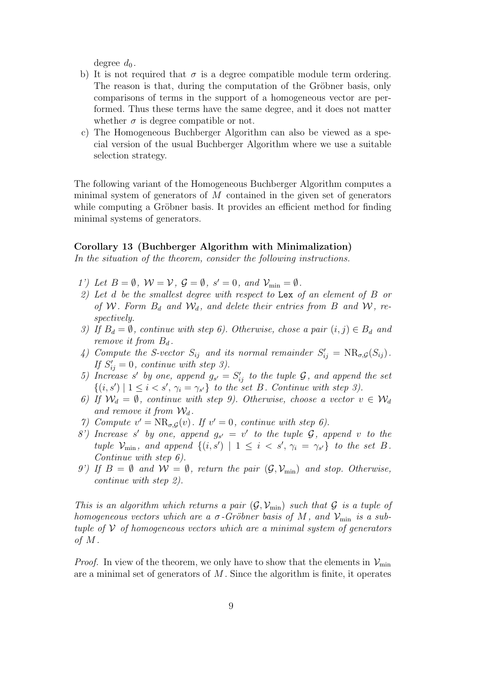degree  $d_0$ .

- b) It is not required that  $\sigma$  is a degree compatible module term ordering. The reason is that, during the computation of the Gröbner basis, only comparisons of terms in the support of a homogeneous vector are performed. Thus these terms have the same degree, and it does not matter whether  $\sigma$  is degree compatible or not.
- c) The Homogeneous Buchberger Algorithm can also be viewed as a special version of the usual Buchberger Algorithm where we use a suitable selection strategy.

The following variant of the Homogeneous Buchberger Algorithm computes a minimal system of generators of  $M$  contained in the given set of generators while computing a Gröbner basis. It provides an efficient method for finding minimal systems of generators.

### Corollary 13 (Buchberger Algorithm with Minimalization)

In the situation of the theorem, consider the following instructions.

- 1') Let  $B = \emptyset$ ,  $W = V$ ,  $\mathcal{G} = \emptyset$ ,  $s' = 0$ , and  $\mathcal{V}_{\min} = \emptyset$ .
- 2) Let d be the smallest degree with respect to Lex of an element of B or of W. Form  $B_d$  and  $W_d$ , and delete their entries from B and W, respectively.
- 3) If  $B_d = \emptyset$ , continue with step 6). Otherwise, chose a pair  $(i, j) \in B_d$  and remove it from  $B_d$ .
- 4) Compute the S-vector  $S_{ij}$  and its normal remainder  $S'_{ij} = NR_{\sigma,\mathcal{G}}(S_{ij})$ . If  $S'_{ij} = 0$ , continue with step 3).
- 5) Increase s' by one, append  $g_{s'} = S'_{ij}$  to the tuple  $\mathcal{G}$ , and append the set  $\{(i, s') \mid 1 \leq i < s', \gamma_i = \gamma_{s'}\}$  to the set B. Continue with step 3).
- 6) If  $\mathcal{W}_d = \emptyset$ , continue with step 9). Otherwise, choose a vector  $v \in \mathcal{W}_d$ and remove it from  $\mathcal{W}_d$ .
- 7) Compute  $v' = NR_{\sigma, \mathcal{G}}(v)$ . If  $v' = 0$ , continue with step 6).
- 8') Increase s' by one, append  $g_{s'} = v'$  to the tuple  $G$ , append v to the tuple  $\mathcal{V}_{\min}$ , and append  $\{(i, s') | 1 \leq i < s', \gamma_i = \gamma_{s'}\}$  to the set B. Continue with step 6).
- 9') If  $B = \emptyset$  and  $W = \emptyset$ , return the pair  $(\mathcal{G}, \mathcal{V}_{\text{min}})$  and stop. Otherwise, continue with step 2).

This is an algorithm which returns a pair  $(\mathcal{G}, \mathcal{V}_{\text{min}})$  such that  $\mathcal{G}$  is a tuple of homogeneous vectors which are a  $\sigma$ -Gröbner basis of M, and  $\mathcal{V}_{\text{min}}$  is a subtuple of  $V$  of homogeneous vectors which are a minimal system of generators of M .

*Proof.* In view of the theorem, we only have to show that the elements in  $\mathcal{V}_{\text{min}}$ are a minimal set of generators of  $M$ . Since the algorithm is finite, it operates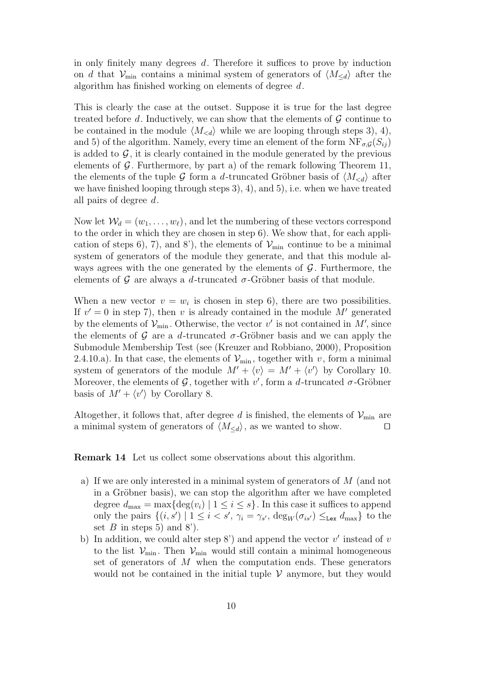in only finitely many degrees d. Therefore it suffices to prove by induction on d that  $V_{\text{min}}$  contains a minimal system of generators of  $\langle M_{\le d} \rangle$  after the algorithm has finished working on elements of degree d.

This is clearly the case at the outset. Suppose it is true for the last degree treated before d. Inductively, we can show that the elements of  $\mathcal G$  continue to be contained in the module  $\langle M_{< d} \rangle$  while we are looping through steps 3), 4), and 5) of the algorithm. Namely, every time an element of the form  $NF_{\sigma,G}(S_{ij})$ is added to  $\mathcal{G}$ , it is clearly contained in the module generated by the previous elements of  $\mathcal G$ . Furthermore, by part a) of the remark following Theorem 11, the elements of the tuple G form a d-truncated Gröbner basis of  $\langle M_{\leq d} \rangle$  after we have finished looping through steps 3), 4), and 5), i.e. when we have treated all pairs of degree d.

Now let  $\mathcal{W}_d = (w_1, \ldots, w_\ell)$ , and let the numbering of these vectors correspond to the order in which they are chosen in step 6). We show that, for each application of steps 6), 7), and 8'), the elements of  $\mathcal{V}_{\text{min}}$  continue to be a minimal system of generators of the module they generate, and that this module always agrees with the one generated by the elements of  $\mathcal G$ . Furthermore, the elements of G are always a d-truncated  $\sigma$ -Gröbner basis of that module.

When a new vector  $v = w_i$  is chosen in step 6), there are two possibilities. If  $v' = 0$  in step 7), then v is already contained in the module M' generated by the elements of  $\mathcal{V}_{\text{min}}$ . Otherwise, the vector v' is not contained in M', since the elements of G are a d-truncated  $\sigma$ -Gröbner basis and we can apply the Submodule Membership Test (see (Kreuzer and Robbiano, 2000), Proposition 2.4.10.a). In that case, the elements of  $\mathcal{V}_{\text{min}}$ , together with v, form a minimal system of generators of the module  $M' + \langle v \rangle = M' + \langle v' \rangle$  by Corollary 10. Moreover, the elements of  $\mathcal{G}$ , together with  $v'$ , form a d-truncated  $\sigma$ -Gröbner basis of  $M' + \langle v' \rangle$  by Corollary 8.

Altogether, it follows that, after degree d is finished, the elements of  $\mathcal{V}_{\text{min}}$  are a minimal system of generators of  $\langle M_{\le d} \rangle$ , as we wanted to show.  $\square$ 

Remark 14 Let us collect some observations about this algorithm.

- a) If we are only interested in a minimal system of generators of M (and not in a Gröbner basis), we can stop the algorithm after we have completed degree  $d_{\text{max}} = \max\{\text{deg}(v_i) \mid 1 \leq i \leq s\}.$  In this case it suffices to append only the pairs  $\{(i, s') \mid 1 \leq i < s', \gamma_i = \gamma_{s'}$ ,  $\deg_W(\sigma_{is'}) \leq_{\text{Lex}} d_{\text{max}}\}\)$  to the set  $B$  in steps 5) and 8').
- b) In addition, we could alter step 8') and append the vector  $v'$  instead of  $v$ to the list  $\mathcal{V}_{\text{min}}$ . Then  $\mathcal{V}_{\text{min}}$  would still contain a minimal homogeneous set of generators of M when the computation ends. These generators would not be contained in the initial tuple  $\mathcal V$  anymore, but they would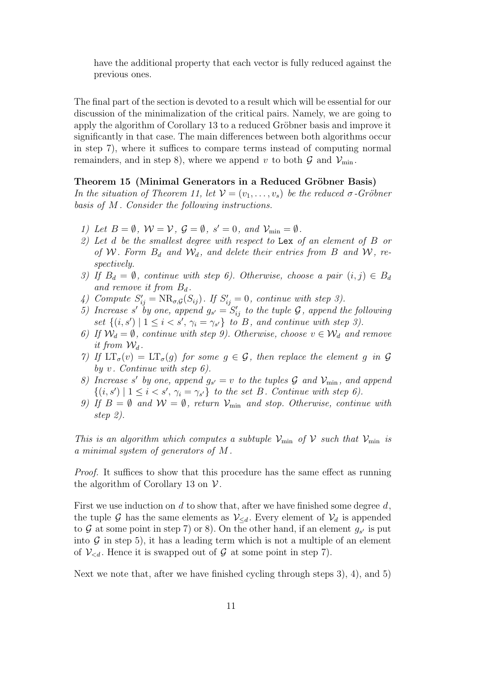have the additional property that each vector is fully reduced against the previous ones.

The final part of the section is devoted to a result which will be essential for our discussion of the minimalization of the critical pairs. Namely, we are going to apply the algorithm of Corollary 13 to a reduced Gröbner basis and improve it significantly in that case. The main differences between both algorithms occur in step 7), where it suffices to compare terms instead of computing normal remainders, and in step 8), where we append v to both  $\mathcal{G}$  and  $\mathcal{V}_{\min}$ .

## Theorem 15 (Minimal Generators in a Reduced Gröbner Basis)

In the situation of Theorem 11, let  $\mathcal{V} = (v_1, \ldots, v_s)$  be the reduced  $\sigma$ -Gröbner basis of M . Consider the following instructions.

- 1) Let  $B = \emptyset$ ,  $W = V$ ,  $\mathcal{G} = \emptyset$ ,  $s' = 0$ , and  $\mathcal{V}_{\min} = \emptyset$ .
- 2) Let d be the smallest degree with respect to Lex of an element of B or of W. Form  $B_d$  and  $W_d$ , and delete their entries from B and W, respectively.
- 3) If  $B_d = \emptyset$ , continue with step 6). Otherwise, choose a pair  $(i, j) \in B_d$ and remove it from  $B_d$ .
- 4) Compute  $S'_{ij} = NR_{\sigma,\mathcal{G}}(S_{ij})$ . If  $S'_{ij} = 0$ , continue with step 3).
- 5) Increase s' by one, append  $g_{s'} = S'_{ij}$  to the tuple  $G$ , append the following set  $\{(i, s') \mid 1 \leq i < s', \gamma_i = \gamma_{s'}\}$  to B, and continue with step 3).
- 6) If  $\mathcal{W}_d = \emptyset$ , continue with step 9). Otherwise, choose  $v \in \mathcal{W}_d$  and remove it from  $\mathcal{W}_d$ .
- 7) If  $LT_{\sigma}(v) = LT_{\sigma}(g)$  for some  $g \in \mathcal{G}$ , then replace the element g in  $\mathcal{G}$ by v. Continue with step  $6$ ).
- 8) Increase s' by one, append  $g_{s'} = v$  to the tuples G and  $\mathcal{V}_{\min}$ , and append  $\{(i, s') \mid 1 \leq i < s', \gamma_i = \gamma_{s'}\}$  to the set B. Continue with step 6).
- 9) If  $B = \emptyset$  and  $W = \emptyset$ , return  $V_{\text{min}}$  and stop. Otherwise, continue with step 2).

This is an algorithm which computes a subtuple  $\mathcal{V}_{\text{min}}$  of  $\mathcal{V}$  such that  $\mathcal{V}_{\text{min}}$  is a minimal system of generators of M .

Proof. It suffices to show that this procedure has the same effect as running the algorithm of Corollary 13 on  $V$ .

First we use induction on  $d$  to show that, after we have finished some degree  $d$ , the tuple G has the same elements as  $V_{\leq d}$ . Every element of  $V_d$  is appended to  $G$  at some point in step 7) or 8). On the other hand, if an element  $g_{s'}$  is put into  $\mathcal G$  in step 5), it has a leading term which is not a multiple of an element of  $V_{\le d}$ . Hence it is swapped out of G at some point in step 7).

Next we note that, after we have finished cycling through steps 3), 4), and 5)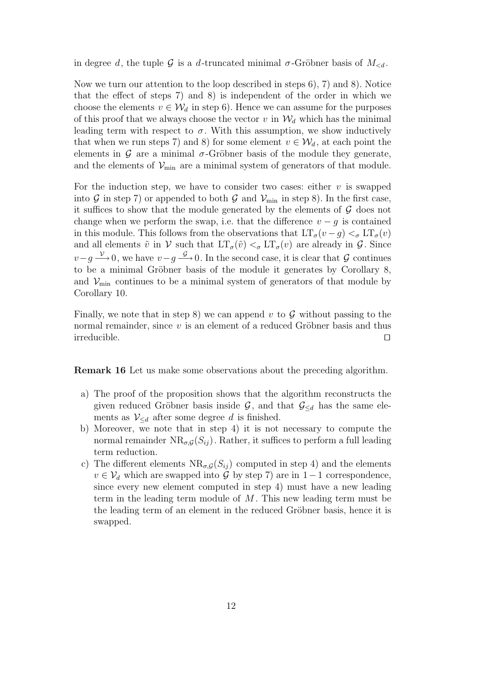in degree d, the tuple G is a d-truncated minimal  $\sigma$ -Gröbner basis of  $M_{\leq d}$ .

Now we turn our attention to the loop described in steps 6), 7) and 8). Notice that the effect of steps 7) and 8) is independent of the order in which we choose the elements  $v \in \mathcal{W}_d$  in step 6). Hence we can assume for the purposes of this proof that we always choose the vector v in  $\mathcal{W}_d$  which has the minimal leading term with respect to  $\sigma$ . With this assumption, we show inductively that when we run steps 7) and 8) for some element  $v \in W_d$ , at each point the elements in  $\mathcal G$  are a minimal  $\sigma$ -Gröbner basis of the module they generate, and the elements of  $\mathcal{V}_{\text{min}}$  are a minimal system of generators of that module.

For the induction step, we have to consider two cases: either  $v$  is swapped into G in step 7) or appended to both G and  $\mathcal{V}_{\text{min}}$  in step 8). In the first case, it suffices to show that the module generated by the elements of  $\mathcal G$  does not change when we perform the swap, i.e. that the difference  $v - g$  is contained in this module. This follows from the observations that  $LT_{\sigma}(v - g) <_{\sigma} LT_{\sigma}(v)$ and all elements  $\tilde{v}$  in  $\mathcal V$  such that  $LT_{\sigma}(\tilde{v}) <_{\sigma} LT_{\sigma}(v)$  are already in  $\mathcal G$ . Since  $v-g \stackrel{\mathcal{V}}{\longrightarrow} 0$ , we have  $v-g \stackrel{\mathcal{G}}{\longrightarrow} 0$ . In the second case, it is clear that  $\mathcal G$  continues to be a minimal Gröbner basis of the module it generates by Corollary  $8$ , and  $\mathcal{V}_{\text{min}}$  continues to be a minimal system of generators of that module by Corollary 10.

Finally, we note that in step 8) we can append v to  $\mathcal G$  without passing to the normal remainder, since  $v$  is an element of a reduced Gröbner basis and thus  $\Box$  irreducible.  $\Box$ 

Remark 16 Let us make some observations about the preceding algorithm.

- a) The proof of the proposition shows that the algorithm reconstructs the given reduced Gröbner basis inside  $G$ , and that  $G_{\le d}$  has the same elements as  $V_{\leq d}$  after some degree d is finished.
- b) Moreover, we note that in step 4) it is not necessary to compute the normal remainder  $NR_{\sigma,G}(S_{ij})$ . Rather, it suffices to perform a full leading term reduction.
- c) The different elements  $NR_{\sigma,G}(S_{ij})$  computed in step 4) and the elements  $v \in V_d$  which are swapped into G by step 7) are in 1-1 correspondence, since every new element computed in step 4) must have a new leading term in the leading term module of  $M$ . This new leading term must be the leading term of an element in the reduced Gröbner basis, hence it is swapped.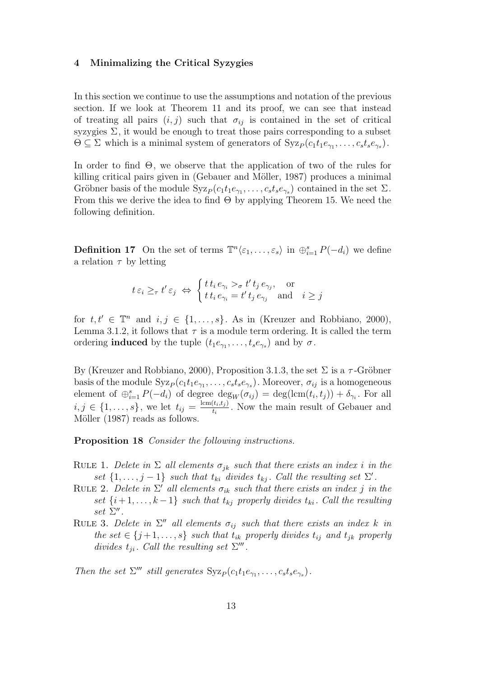#### 4 Minimalizing the Critical Syzygies

In this section we continue to use the assumptions and notation of the previous section. If we look at Theorem 11 and its proof, we can see that instead of treating all pairs  $(i, j)$  such that  $\sigma_{ij}$  is contained in the set of critical syzygies  $\Sigma$ , it would be enough to treat those pairs corresponding to a subset  $\Theta \subseteq \Sigma$  which is a minimal system of generators of  $SyzP(c_1t_1e_{\gamma_1}, \ldots, c_st_se_{\gamma_s}).$ 

In order to find Θ, we observe that the application of two of the rules for killing critical pairs given in (Gebauer and Möller, 1987) produces a minimal Gröbner basis of the module  $Syz_P(c_1t_1e_{\gamma_1},\ldots,c_st_se_{\gamma_s})$  contained in the set  $\Sigma$ . From this we derive the idea to find  $\Theta$  by applying Theorem 15. We need the following definition.

**Definition 17** On the set of terms  $\mathbb{T}^n \langle \varepsilon_1, \ldots, \varepsilon_s \rangle$  in  $\bigoplus_{i=1}^s P(-d_i)$  we define a relation  $\tau$  by letting

$$
t \varepsilon_i \geq_\tau t' \varepsilon_j \Leftrightarrow \begin{cases} t \, t_i \, e_{\gamma_i} >_\sigma t' \, t_j \, e_{\gamma_j}, \quad \text{or} \\ t \, t_i \, e_{\gamma_i} = t' \, t_j \, e_{\gamma_j} \quad \text{and} \quad i \geq j \end{cases}
$$

for  $t, t' \in \mathbb{T}^n$  and  $i, j \in \{1, \ldots, s\}$ . As in (Kreuzer and Robbiano, 2000), Lemma 3.1.2, it follows that  $\tau$  is a module term ordering. It is called the term ordering **induced** by the tuple  $(t_1e_{\gamma_1},...,t_se_{\gamma_s})$  and by  $\sigma$ .

By (Kreuzer and Robbiano, 2000), Proposition 3.1.3, the set  $\Sigma$  is a  $\tau$ -Gröbner basis of the module  $Syz_P(c_1t_1e_{\gamma_1}, \ldots, c_st_se_{\gamma_s})$ . Moreover,  $\sigma_{ij}$  is a homogeneous element of  $\bigoplus_{i=1}^s P(-d_i)$  of degree  $\deg_W(\sigma_{ij}) = \deg(\text{lcm}(t_i, t_j)) + \delta_{\gamma_i}$ . For all  $i, j \in \{1, \ldots, s\},$  we let  $t_{ij} = \frac{\text{lcm}(t_i, t_j)}{t_i}$  $\frac{(t_i, t_j)}{t_i}$ . Now the main result of Gebauer and Möller (1987) reads as follows.

Proposition 18 Consider the following instructions.

- RULE 1. Delete in  $\Sigma$  all elements  $\sigma_{ik}$  such that there exists an index i in the set  $\{1, \ldots, j-1\}$  such that  $t_{ki}$  divides  $t_{kj}$ . Call the resulting set  $\Sigma'$ .
- RULE 2. Delete in  $\Sigma'$  all elements  $\sigma_{ik}$  such that there exists an index j in the set  $\{i+1,\ldots,k-1\}$  such that  $t_{kj}$  properly divides  $t_{ki}$ . Call the resulting set  $\Sigma''$ .
- RULE 3. Delete in  $\Sigma''$  all elements  $\sigma_{ij}$  such that there exists an index k in the set  $\in \{j+1,\ldots,s\}$  such that  $t_{ik}$  properly divides  $t_{ij}$  and  $t_{jk}$  properly divides  $t_{ji}$ . Call the resulting set  $\Sigma'''$ .

Then the set  $\Sigma'''$  still generates  $Syz_P(c_1t_1e_{\gamma_1}, \ldots, c_st_se_{\gamma_s})$ .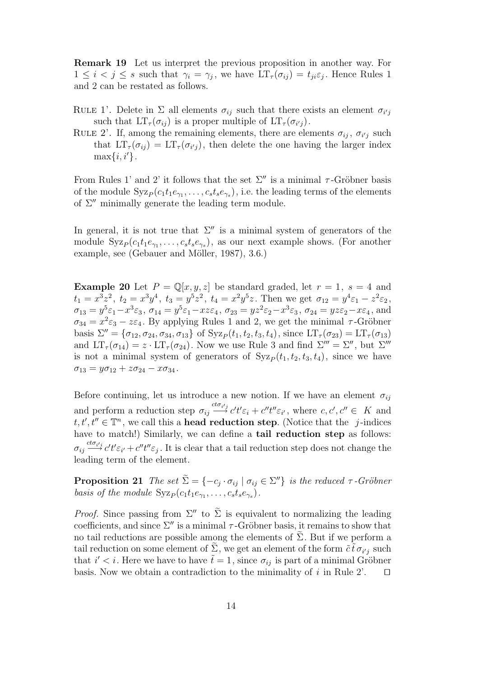Remark 19 Let us interpret the previous proposition in another way. For  $1 \leq i < j \leq s$  such that  $\gamma_i = \gamma_j$ , we have  $LT_{\tau}(\sigma_{ij}) = t_{ji} \varepsilon_j$ . Hence Rules 1 and 2 can be restated as follows.

- RULE 1'. Delete in  $\Sigma$  all elements  $\sigma_{ij}$  such that there exists an element  $\sigma_{i'j}$ such that  $LT_{\tau}(\sigma_{ij})$  is a proper multiple of  $LT_{\tau}(\sigma_{i'j})$ .
- RULE 2'. If, among the remaining elements, there are elements  $\sigma_{ij}$ ,  $\sigma_{i'j}$  such that  $LT_{\tau}(\sigma_{ij}) = LT_{\tau}(\sigma_{i'j})$ , then delete the one having the larger index  $\max\{i, i'\}.$

From Rules 1' and 2' it follows that the set  $\Sigma''$  is a minimal  $\tau$ -Gröbner basis of the module  $Syz_P(c_1t_1e_{\gamma_1},\ldots,c_st_se_{\gamma_s}),$  i.e. the leading terms of the elements of  $\Sigma$ <sup>*n*</sup> minimally generate the leading term module.

In general, it is not true that  $\Sigma''$  is a minimal system of generators of the module  $Syz_P(c_1t_1e_{\gamma_1},\ldots,c_st_se_{\gamma_s}),$  as our next example shows. (For another example, see (Gebauer and Möller, 1987), 3.6.)

**Example 20** Let  $P = \mathbb{Q}[x, y, z]$  be standard graded, let  $r = 1$ ,  $s = 4$  and  $t_1 = x^3 z^2$ ,  $t_2 = x^3 y^4$ ,  $t_3 = y^5 z^2$ ,  $t_4 = x^2 y^5 z$ . Then we get  $\sigma_{12} = y^4 \varepsilon_1 - z^2 \varepsilon_2$ ,  $\sigma_{13} = y^5 \varepsilon_1 - x^3 \varepsilon_3$ ,  $\sigma_{14} = y^5 \varepsilon_1 - xz \varepsilon_4$ ,  $\sigma_{23} = yz^2 \varepsilon_2 - x^3 \varepsilon_3$ ,  $\sigma_{24} = yz \varepsilon_2 - x\varepsilon_4$ , and  $\sigma_{34} = x^2 \varepsilon_3 - z \varepsilon_4$ . By applying Rules 1 and 2, we get the minimal  $\tau$ -Gröbner basis  $\Sigma'' = {\sigma_{12}, \sigma_{24}, \sigma_{34}, \sigma_{13}}$  of  $Syz_P(t_1, t_2, t_3, t_4)$ , since  $LT_\tau(\sigma_{23}) = LT_\tau(\sigma_{13})$ and  $LT_{\tau}(\sigma_{14}) = z \cdot LT_{\tau}(\sigma_{24})$ . Now we use Rule 3 and find  $\Sigma''' = \Sigma''$ , but  $\Sigma'''$ is not a minimal system of generators of  $Syz_P(t_1, t_2, t_3, t_4)$ , since we have  $\sigma_{13} = y\sigma_{12} + z\sigma_{24} - x\sigma_{34}$ .

Before continuing, let us introduce a new notion. If we have an element  $\sigma_{ij}$ and perform a reduction step  $\sigma_{ij} \stackrel{c\tau \sigma_{i'j}}{\longrightarrow} c' t' \varepsilon_i + c'' t'' \varepsilon_{i'}$ , where  $c, c', c'' \in K$  and  $t, t', t'' \in \mathbb{T}^n$ , we call this a **head reduction step**. (Notice that the j-indices have to match!) Similarly, we can define a **tail reduction step** as follows:  $\sigma_{ij} \stackrel{ct\sigma_{i'i}}{\longrightarrow} c't'\varepsilon_{i'} + c''t''\varepsilon_j$ . It is clear that a tail reduction step does not change the leading term of the element.

**Proposition 21** The set  $\widetilde{\Sigma} = \{-c_j \cdot \sigma_{ij} \mid \sigma_{ij} \in \Sigma''\}$  is the reduced  $\tau$ -Gröbner basis of the module  $\text{Syz}_P(c_1t_1e_{\gamma_1}, \ldots, c_st_se_{\gamma_s})$ .

*Proof.* Since passing from  $\Sigma''$  to  $\tilde{\Sigma}$  is equivalent to normalizing the leading coefficients, and since  $\Sigma''$  is a minimal  $\tau$ -Gröbner basis, it remains to show that no tail reductions are possible among the elements of  $\Sigma$ . But if we perform a tail reduction on some element of  $\tilde{\Sigma}$ , we get an element of the form  $\tilde{c} \tilde{t} \sigma_{i'j}$  such that  $i' < i$ . Here we have to have  $\tilde{t} = 1$ , since  $\sigma_{ij}$  is part of a minimal Gröbner basis. Now we obtain a contradiction to the minimality of i in Rule 2'.  $\Box$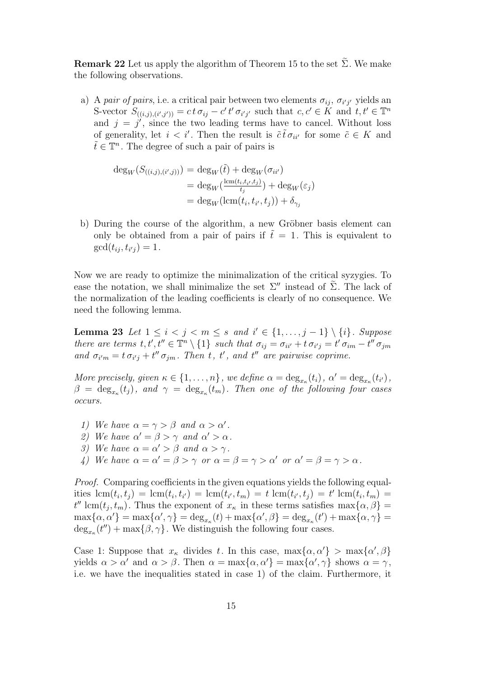**Remark 22** Let us apply the algorithm of Theorem 15 to the set  $\tilde{\Sigma}$ . We make the following observations.

a) A pair of pairs, i.e. a critical pair between two elements  $\sigma_{ij}$ ,  $\sigma_{i'j'}$  yields an S-vector  $S_{((i,j),(i',j'))} = c t \sigma_{ij} - c' t' \sigma_{i'j'}$  such that  $c, c' \in K$  and  $t, t' \in \mathbb{T}^n$ and  $j = j'$ , since the two leading terms have to cancel. Without loss of generality, let  $i < i'$ . Then the result is  $\tilde{c} \tilde{t} \sigma_{ii'}$  for some  $\tilde{c} \in K$  and  $\tilde{t} \in \mathbb{T}^n$ . The degree of such a pair of pairs is

$$
\begin{aligned} \deg_W(S_{((i,j),(i',j)))} &= \deg_W(\tilde{t}) + \deg_W(\sigma_{ii'}) \\ &= \deg_W(\frac{\operatorname{lcm}(t_i,t_{i'},t_j)}{t_j}) + \deg_W(\varepsilon_j) \\ &= \deg_W(\operatorname{lcm}(t_i,t_{i'},t_j)) + \delta_{\gamma_j} \end{aligned}
$$

b) During the course of the algorithm, a new Gröbner basis element can only be obtained from a pair of pairs if  $\tilde{t} = 1$ . This is equivalent to  $gcd(t_{ij}, t_{i'j}) = 1.$ 

Now we are ready to optimize the minimalization of the critical syzygies. To ease the notation, we shall minimalize the set  $\Sigma''$  instead of  $\tilde{\Sigma}$ . The lack of the normalization of the leading coefficients is clearly of no consequence. We need the following lemma.

**Lemma 23** Let  $1 \leq i < j < m \leq s$  and  $i' \in \{1, \ldots, j-1\} \setminus \{i\}$ . Suppose there are terms  $t, t', t'' \in \mathbb{T}^n \setminus \{1\}$  such that  $\sigma_{ij} = \sigma_{ii'} + t \sigma_{i'j} = t' \sigma_{im} - t'' \sigma_{jm}$ and  $\sigma_{i'm} = t \sigma_{i'j} + t'' \sigma_{jm}$ . Then t, t', and t'' are pairwise coprime.

More precisely, given  $\kappa \in \{1, ..., n\}$ , we define  $\alpha = \deg_{x_{\kappa}}(t_i)$ ,  $\alpha' = \deg_{x_{\kappa}}(t_{i'})$ ,  $\beta = \deg_{x_{\kappa}}(t_j)$ , and  $\gamma = \deg_{x_{\kappa}}(t_m)$ . Then one of the following four cases occurs.

- 1) We have  $\alpha = \gamma > \beta$  and  $\alpha > \alpha'$ . 2) We have  $\alpha' = \beta > \gamma$  and  $\alpha' > \alpha$ . 3) We have  $\alpha = \alpha' > \beta$  and  $\alpha > \gamma$ .
- 4) We have  $\alpha = \alpha' = \beta > \gamma$  or  $\alpha = \beta = \gamma > \alpha'$  or  $\alpha' = \beta = \gamma > \alpha$ .

Proof. Comparing coefficients in the given equations yields the following equalities  $\text{lcm}(t_i, t_j) = \text{lcm}(t_i, t_{i'}) = \text{lcm}(t_{i'}, t_m) = t \text{lcm}(t_{i'}, t_j) = t' \text{lcm}(t_i, t_m) =$  $t''$  lcm( $t_j, t_m$ ). Thus the exponent of  $x_{\kappa}$  in these terms satisfies max $\{\alpha, \beta\} =$  $\max\{\alpha,\alpha'\} = \max\{\alpha',\gamma\} = \deg_{x_{\kappa}}(t) + \max\{\alpha',\beta\} = \deg_{x_{\kappa}}(t') + \max\{\alpha,\gamma\} =$  $\deg_{x_{\kappa}}(t'') + \max\{\beta,\gamma\}.$  We distinguish the following four cases.

Case 1: Suppose that  $x_{\kappa}$  divides t. In this case,  $\max\{\alpha,\alpha'\} > \max\{\alpha',\beta\}$ yields  $\alpha > \alpha'$  and  $\alpha > \beta$ . Then  $\alpha = \max{\{\alpha, \alpha'\}} = \max{\{\alpha', \gamma\}}$  shows  $\alpha = \gamma$ , i.e. we have the inequalities stated in case 1) of the claim. Furthermore, it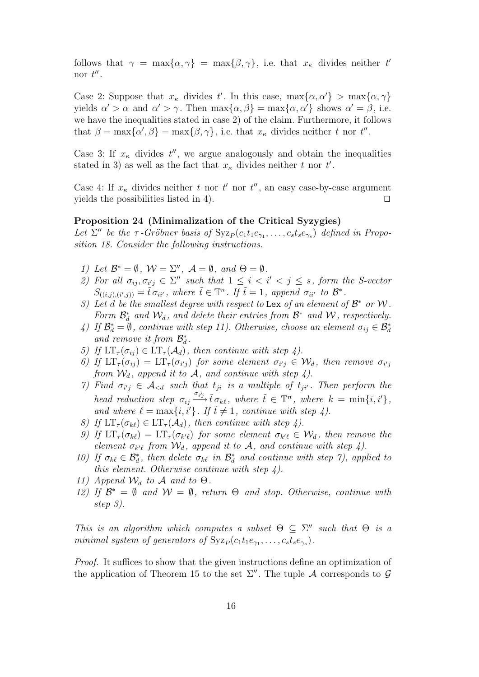follows that  $\gamma = \max\{\alpha, \gamma\} = \max\{\beta, \gamma\}$ , i.e. that  $x_{\kappa}$  divides neither t nor  $t''$ .

Case 2: Suppose that  $x_{\kappa}$  divides t'. In this case,  $\max\{\alpha,\alpha'\} > \max\{\alpha,\gamma\}$ yields  $\alpha' > \alpha$  and  $\alpha' > \gamma$ . Then  $\max{\alpha, \beta} = \max{\alpha, \alpha'}$  shows  $\alpha' = \beta$ , i.e. we have the inequalities stated in case 2) of the claim. Furthermore, it follows that  $\beta = \max\{\alpha', \beta\} = \max\{\beta, \gamma\},\$ i.e. that  $x_{\kappa}$  divides neither t nor t''.

Case 3: If  $x_{\kappa}$  divides  $t''$ , we argue analogously and obtain the inequalities stated in 3) as well as the fact that  $x_{\kappa}$  divides neither t nor t'.

Case 4: If  $x_{\kappa}$  divides neither t nor t' nor t'', an easy case-by-case argument yields the possibilities listed in 4).  $\Box$ 

#### Proposition 24 (Minimalization of the Critical Syzygies)

Let  $\Sigma''$  be the  $\tau$ -Gröbner basis of  $Syz_P(c_1t_1e_{\gamma_1}, \ldots, c_st_se_{\gamma_s})$  defined in Proposition 18. Consider the following instructions.

- 1) Let  $\mathcal{B}^* = \emptyset$ ,  $\mathcal{W} = \Sigma''$ ,  $\mathcal{A} = \emptyset$ , and  $\Theta = \emptyset$ .
- 2) For all  $\sigma_{ij}, \sigma_{i'j} \in \Sigma''$  such that  $1 \leq i < i' < j \leq s$ , form the S-vector  $S_{((i,j),(i',j))} = \tilde{t} \sigma_{ii'}$ , where  $\tilde{t} \in \mathbb{T}^n$ . If  $\tilde{t} = 1$ , append  $\sigma_{ii'}$  to  $\mathcal{B}^*$ .
- 3) Let d be the smallest degree with respect to Lex of an element of  $\mathcal{B}^*$  or W. Form  $\mathcal{B}^*_{d}$  and  $\mathcal{W}_d$ , and delete their entries from  $\mathcal{B}^*$  and  $\mathcal{W}$ , respectively.
- 4) If  $\mathcal{B}^*_{d} = \emptyset$ , continue with step 11). Otherwise, choose an element  $\sigma_{ij} \in \mathcal{B}^*_{d}$ and remove it from  $\mathcal{B}_d^*$ .
- 5) If  $LT_{\tau}(\sigma_{ii}) \in LT_{\tau}(\mathcal{A}_d)$ , then continue with step 4).
- 6) If  $LT_{\tau}(\sigma_{ij}) = LT_{\tau}(\sigma_{i'j})$  for some element  $\sigma_{i'j} \in W_d$ , then remove  $\sigma_{i'j}$ from  $\mathcal{W}_d$ , append it to  $\mathcal{A}$ , and continue with step 4).
- 7) Find  $\sigma_{i'j} \in \mathcal{A}_{\le d}$  such that  $t_{ji}$  is a multiple of  $t_{ji'}$ . Then perform the head reduction step  $\sigma_{ij} \xrightarrow{\sigma_{ij}} \tilde{t} \sigma_{k\ell}$ , where  $\tilde{t} \in \mathbb{T}^n$ , where  $k = \min\{i, i'\}$ , and where  $\ell = \max\{i, i'\}$ . If  $\tilde{t} \neq 1$ , continue with step 4).
- 8) If  $LT_\tau(\sigma_{k\ell}) \in LT_\tau(\mathcal{A}_d)$ , then continue with step 4).
- 9) If  $LT_{\tau}(\sigma_{k\ell}) = LT_{\tau}(\sigma_{k'\ell})$  for some element  $\sigma_{k'\ell} \in \mathcal{W}_d$ , then remove the element  $\sigma_{k'\ell}$  from  $\mathcal{W}_d$ , append it to A, and continue with step 4).
- 10) If  $\sigma_{k\ell} \in \mathcal{B}_d^*$ , then delete  $\sigma_{k\ell}$  in  $\mathcal{B}_d^*$  and continue with step 7), applied to this element. Otherwise continue with step  $\downarrow$ ).
- 11) Append  $\mathcal{W}_d$  to  $\mathcal A$  and to  $\Theta$ .
- 12) If  $\mathcal{B}^* = \emptyset$  and  $\mathcal{W} = \emptyset$ , return  $\Theta$  and stop. Otherwise, continue with step 3).

This is an algorithm which computes a subset  $\Theta \subseteq \Sigma''$  such that  $\Theta$  is a minimal system of generators of  $Syz_p(c_1t_1e_{\gamma_1}, \ldots, c_st_se_{\gamma_s}).$ 

Proof. It suffices to show that the given instructions define an optimization of the application of Theorem 15 to the set  $\Sigma''$ . The tuple A corresponds to G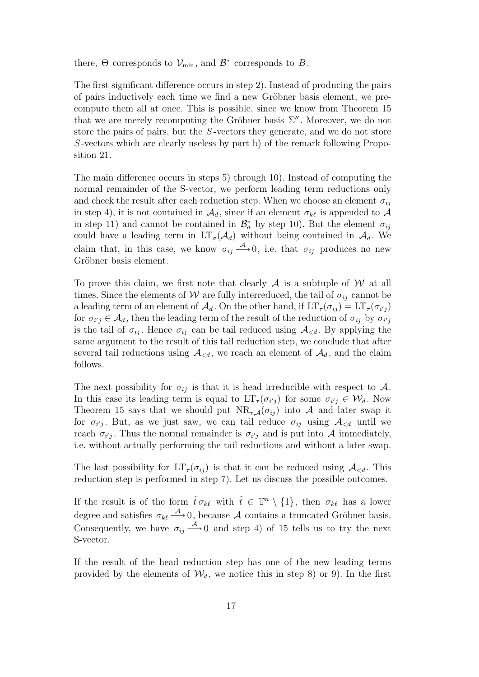there,  $\Theta$  corresponds to  $\mathcal{V}_{\text{min}}$ , and  $\mathcal{B}^*$  corresponds to  $B$ .

The first significant difference occurs in step 2). Instead of producing the pairs of pairs inductively each time we find a new Gröbner basis element, we precompute them all at once. This is possible, since we know from Theorem 15 that we are merely recomputing the Gröbner basis  $\Sigma''$ . Moreover, we do not store the pairs of pairs, but the S-vectors they generate, and we do not store S-vectors which are clearly useless by part b) of the remark following Proposition 21.

The main difference occurs in steps 5) through 10). Instead of computing the normal remainder of the S-vector, we perform leading term reductions only and check the result after each reduction step. When we choose an element  $\sigma_{ij}$ in step 4), it is not contained in  $\mathcal{A}_d$ , since if an element  $\sigma_{k\ell}$  is appended to  $\mathcal A$ in step 11) and cannot be contained in  $\mathcal{B}^*_{d}$  by step 10). But the element  $\sigma_{ij}$ could have a leading term in  $LT_{\sigma}(\mathcal{A}_d)$  without being contained in  $\mathcal{A}_d$ . We claim that, in this case, we know  $\sigma_{ij} \stackrel{\mathcal{A}}{\longrightarrow} 0$ , i.e. that  $\sigma_{ij}$  produces no new Gröbner basis element.

To prove this claim, we first note that clearly  $A$  is a subtuple of  $W$  at all times. Since the elements of W are fully interreduced, the tail of  $\sigma_{ii}$  cannot be a leading term of an element of  $\mathcal{A}_d$ . On the other hand, if  $LT_\tau(\sigma_{ij}) = LT_\tau(\sigma_{i'j})$ for  $\sigma_{i'j} \in \mathcal{A}_d$ , then the leading term of the result of the reduction of  $\sigma_{ij}$  by  $\sigma_{i'j}$ is the tail of  $\sigma_{ij}$ . Hence  $\sigma_{ij}$  can be tail reduced using  $\mathcal{A}_{\le d}$ . By applying the same argument to the result of this tail reduction step, we conclude that after several tail reductions using  $\mathcal{A}_{\leq d}$ , we reach an element of  $\mathcal{A}_d$ , and the claim follows.

The next possibility for  $\sigma_{ij}$  is that it is head irreducible with respect to A. In this case its leading term is equal to  $LT_{\tau}(\sigma_{i'j})$  for some  $\sigma_{i'j} \in \mathcal{W}_d$ . Now Theorem 15 says that we should put  $NR_{\tau,A}(\sigma_{ij})$  into A and later swap it for  $\sigma_{i'j}$ . But, as we just saw, we can tail reduce  $\sigma_{ij}$  using  $\mathcal{A}_{\le d}$  until we reach  $\sigma_{i'j}$ . Thus the normal remainder is  $\sigma_{i'j}$  and is put into A immediately, i.e. without actually performing the tail reductions and without a later swap.

The last possibility for  $LT_{\tau}(\sigma_{ij})$  is that it can be reduced using  $\mathcal{A}_{\le d}$ . This reduction step is performed in step 7). Let us discuss the possible outcomes.

If the result is of the form  $\tilde{t} \sigma_{k\ell}$  with  $\tilde{t} \in \mathbb{T}^n \setminus \{1\}$ , then  $\sigma_{k\ell}$  has a lower degree and satisfies  $\sigma_{k\ell} \stackrel{\mathcal{A}}{\longrightarrow} 0$ , because A contains a truncated Gröbner basis. Consequently, we have  $\sigma_{ij} \stackrel{\mathcal{A}}{\longrightarrow} 0$  and step 4) of 15 tells us to try the next S-vector.

If the result of the head reduction step has one of the new leading terms provided by the elements of  $\mathcal{W}_d$ , we notice this in step 8) or 9). In the first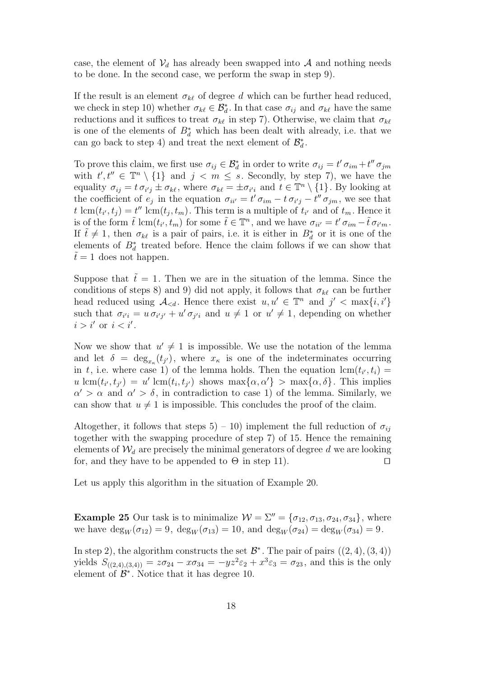case, the element of  $\mathcal{V}_d$  has already been swapped into A and nothing needs to be done. In the second case, we perform the swap in step 9).

If the result is an element  $\sigma_{k\ell}$  of degree d which can be further head reduced, we check in step 10) whether  $\sigma_{k\ell} \in \mathcal{B}_d^*$ . In that case  $\sigma_{ij}$  and  $\sigma_{k\ell}$  have the same reductions and it suffices to treat  $\sigma_{k\ell}$  in step 7). Otherwise, we claim that  $\sigma_{k\ell}$ is one of the elements of  $B_d^*$  which has been dealt with already, i.e. that we can go back to step 4) and treat the next element of  $\mathcal{B}^*_{d}$ .

To prove this claim, we first use  $\sigma_{ij} \in \mathcal{B}^*_{d}$  in order to write  $\sigma_{ij} = t' \sigma_{im} + t'' \sigma_{jm}$ with  $t', t'' \in \mathbb{T}^n \setminus \{1\}$  and  $j < m \leq s$ . Secondly, by step 7), we have the equality  $\sigma_{ij} = t \sigma_{i'j} \pm \sigma_{k\ell}$ , where  $\sigma_{k\ell} = \pm \sigma_{i'i}$  and  $t \in \mathbb{T}^n \setminus \{1\}$ . By looking at the coefficient of  $e_j$  in the equation  $\sigma_{ii'} = t' \sigma_{im} - t \sigma_{i'j} - t'' \sigma_{jm}$ , we see that  $t \operatorname{lcm}(t_{i'}, t_j) = t'' \operatorname{lcm}(t_j, t_m)$ . This term is a multiple of  $t_{i'}$  and of  $t_m$ . Hence it is of the form  $\tilde{t} \text{ lcm}(t_{i'}, t_m)$  for some  $\tilde{t} \in \mathbb{T}^n$ , and we have  $\sigma_{ii'} = t' \sigma_{im} - \tilde{t} \sigma_{i'm}$ . If  $\tilde{t} \neq 1$ , then  $\sigma_{k\ell}$  is a pair of pairs, i.e. it is either in  $B_d^*$  or it is one of the elements of  $B_d^*$  treated before. Hence the claim follows if we can show that  $\tilde{t} = 1$  does not happen.

Suppose that  $\tilde{t} = 1$ . Then we are in the situation of the lemma. Since the conditions of steps 8) and 9) did not apply, it follows that  $\sigma_{k\ell}$  can be further head reduced using  $\mathcal{A}_{\le d}$ . Hence there exist  $u, u' \in \mathbb{T}^n$  and  $j' < \max\{i, i'\}$ such that  $\sigma_{i'i} = u \sigma_{i'j'} + u' \sigma_{j'i}$  and  $u \neq 1$  or  $u' \neq 1$ , depending on whether  $i > i'$  or  $i < i'$ .

Now we show that  $u' \neq 1$  is impossible. We use the notation of the lemma and let  $\delta = \deg_{x_{\kappa}}(t_{j'})$ , where  $x_{\kappa}$  is one of the indeterminates occurring in t, i.e. where case 1) of the lemma holds. Then the equation  $\text{lcm}(t_{i'}, t_i) =$ u lcm( $t_{i'}, t_{j'}$ ) = u' lcm( $t_i, t_{j'}$ ) shows max{ $\alpha, \alpha'$ } > max{ $\alpha, \delta$ }. This implies  $\alpha' > \alpha$  and  $\alpha' > \delta$ , in contradiction to case 1) of the lemma. Similarly, we can show that  $u \neq 1$  is impossible. This concludes the proof of the claim.

Altogether, it follows that steps 5) – 10) implement the full reduction of  $\sigma_{ij}$ together with the swapping procedure of step 7) of 15. Hence the remaining elements of  $\mathcal{W}_d$  are precisely the minimal generators of degree d we are looking for, and they have to be appended to  $\Theta$  in step 11).  $\square$ 

Let us apply this algorithm in the situation of Example 20.

**Example 25** Our task is to minimalize  $W = \sum^{\prime\prime} = {\sigma_{12}, \sigma_{13}, \sigma_{24}, \sigma_{34}}$ , where we have  $\deg_W(\sigma_{12}) = 9$ ,  $\deg_W(\sigma_{13}) = 10$ , and  $\deg_W(\sigma_{24}) = \deg_W(\sigma_{34}) = 9$ .

In step 2), the algorithm constructs the set  $\mathcal{B}^*$ . The pair of pairs  $((2, 4), (3, 4))$ yields  $S_{((2,4),(3,4))} = z\sigma_{24} - x\sigma_{34} = -yz^2 \varepsilon_2 + x^3 \varepsilon_3 = \sigma_{23}$ , and this is the only element of  $\mathcal{B}^*$ . Notice that it has degree 10.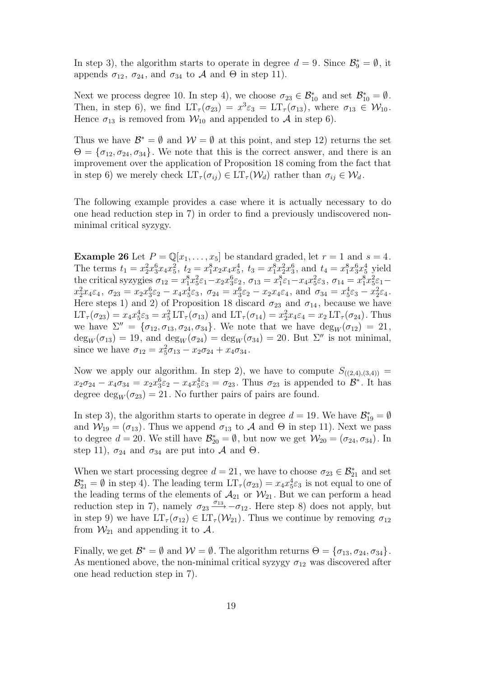In step 3), the algorithm starts to operate in degree  $d = 9$ . Since  $\mathcal{B}_{9}^* = \emptyset$ , it appends  $\sigma_{12}$ ,  $\sigma_{24}$ , and  $\sigma_{34}$  to A and  $\Theta$  in step 11).

Next we process degree 10. In step 4), we choose  $\sigma_{23} \in \mathcal{B}_{10}^*$  and set  $\mathcal{B}_{10}^* = \emptyset$ . Then, in step 6), we find  $LT_{\tau}(\sigma_{23}) = x^3 \varepsilon_3 = LT_{\tau}(\sigma_{13})$ , where  $\sigma_{13} \in W_{10}$ . Hence  $\sigma_{13}$  is removed from  $\mathcal{W}_{10}$  and appended to  $\mathcal A$  in step 6).

Thus we have  $\mathcal{B}^* = \emptyset$  and  $\mathcal{W} = \emptyset$  at this point, and step 12) returns the set  $\Theta = {\sigma_{12}, \sigma_{24}, \sigma_{34}}$ . We note that this is the correct answer, and there is an improvement over the application of Proposition 18 coming from the fact that in step 6) we merely check  $LT_{\tau}(\sigma_{ij}) \in LT_{\tau}(W_d)$  rather than  $\sigma_{ij} \in W_d$ .

The following example provides a case where it is actually necessary to do one head reduction step in 7) in order to find a previously undiscovered nonminimal critical syzygy.

**Example 26** Let  $P = \mathbb{Q}[x_1, \ldots, x_5]$  be standard graded, let  $r = 1$  and  $s = 4$ . The terms  $t_1 = x_2^2 x_3^6 x_4 x_5^2$ ,  $t_2 = x_1^8 x_2 x_4 x_5^4$ ,  $t_3 = x_1^8 x_2^2 x_3^6$ , and  $t_4 = x_1^8 x_3^6 x_5^4$  yield the critical syzygies  $\sigma_{12} = x_1^8 x_5^2 \varepsilon_1 - x_2 x_3^6 \varepsilon_2$ ,  $\sigma_{13} = x_1^8 \varepsilon_1 - x_4 x_5^2 \varepsilon_3$ ,  $\sigma_{14} = x_1^8 x_5^2 \varepsilon_1 - x_4 x_5^2 \varepsilon_1$  $x_2^2x_4\varepsilon_4$ ,  $\sigma_{23} = x_2x_3^6\varepsilon_2 - x_4x_5^4\varepsilon_3$ ,  $\sigma_{24} = x_3^6\varepsilon_2 - x_2x_4\varepsilon_4$ , and  $\sigma_{34} = x_5^4\varepsilon_3 - x_2^2\varepsilon_4$ . Here steps 1) and 2) of Proposition 18 discard  $\sigma_{23}$  and  $\sigma_{14}$ , because we have  $LT_{\tau}(\sigma_{23}) = x_4 x_5^4 \varepsilon_3 = x_5^2 LT_{\tau}(\sigma_{13})$  and  $LT_{\tau}(\sigma_{14}) = x_2^2 x_4 \varepsilon_4 = x_2 LT_{\tau}(\sigma_{24})$ . Thus we have  $\Sigma'' = {\sigma_{12}, \sigma_{13}, \sigma_{24}, \sigma_{34}}$ . We note that we have  $\deg_W(\sigma_{12}) = 21$ ,  $deg_W(\sigma_{13}) = 19$ , and  $deg_W(\sigma_{24}) = deg_W(\sigma_{34}) = 20$ . But  $\Sigma''$  is not minimal, since we have  $\sigma_{12} = x_5^2 \sigma_{13} - x_2 \sigma_{24} + x_4 \sigma_{34}$ .

Now we apply our algorithm. In step 2), we have to compute  $S_{((2,4),(3,4))}$  =  $x_2\sigma_{24} - x_4\sigma_{34} = x_2x_3^6\varepsilon_2 - x_4x_5^4\varepsilon_3 = \sigma_{23}$ . Thus  $\sigma_{23}$  is appended to  $\mathcal{B}^*$ . It has degree  $\deg_W(\sigma_{23}) = 21$ . No further pairs of pairs are found.

In step 3), the algorithm starts to operate in degree  $d = 19$ . We have  $\mathcal{B}_{19}^* = \emptyset$ and  $W_{19} = (\sigma_{13})$ . Thus we append  $\sigma_{13}$  to A and  $\Theta$  in step 11). Next we pass to degree  $d = 20$ . We still have  $\mathcal{B}_{20}^* = \emptyset$ , but now we get  $\mathcal{W}_{20} = (\sigma_{24}, \sigma_{34})$ . In step 11),  $\sigma_{24}$  and  $\sigma_{34}$  are put into A and  $\Theta$ .

When we start processing degree  $d = 21$ , we have to choose  $\sigma_{23} \in \mathcal{B}_{21}^*$  and set  $\mathcal{B}_{21}^* = \emptyset$  in step 4). The leading term  $LT_\tau(\sigma_{23}) = x_4 x_5^4 \varepsilon_3$  is not equal to one of the leading terms of the elements of  $\mathcal{A}_{21}$  or  $\mathcal{W}_{21}$ . But we can perform a head reduction step in 7), namely  $\sigma_{23} \xrightarrow{\sigma_{13}} -\sigma_{12}$ . Here step 8) does not apply, but in step 9) we have  $LT_{\tau}(\sigma_{12}) \in LT_{\tau}(W_{21})$ . Thus we continue by removing  $\sigma_{12}$ from  $\mathcal{W}_{21}$  and appending it to  $\mathcal{A}$ .

Finally, we get  $\mathcal{B}^* = \emptyset$  and  $\mathcal{W} = \emptyset$ . The algorithm returns  $\Theta = {\sigma_{13}, \sigma_{24}, \sigma_{34}}$ . As mentioned above, the non-minimal critical syzygy  $\sigma_{12}$  was discovered after one head reduction step in 7).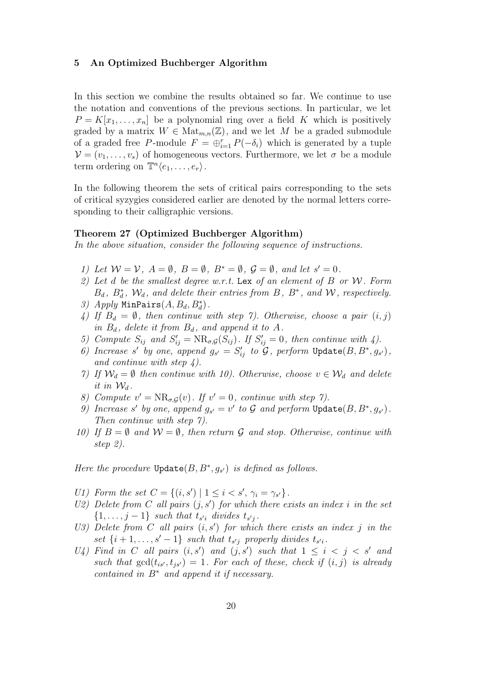#### 5 An Optimized Buchberger Algorithm

In this section we combine the results obtained so far. We continue to use the notation and conventions of the previous sections. In particular, we let  $P = K[x_1, \ldots, x_n]$  be a polynomial ring over a field K which is positively graded by a matrix  $W \in Mat_{m,n}(\mathbb{Z})$ , and we let M be a graded submodule of a graded free P-module  $F = \bigoplus_{i=1}^r P(-\delta_i)$  which is generated by a tuple  $\mathcal{V} = (v_1, \ldots, v_s)$  of homogeneous vectors. Furthermore, we let  $\sigma$  be a module term ordering on  $\mathbb{T}^n \langle e_1, \ldots, e_r \rangle$ .

In the following theorem the sets of critical pairs corresponding to the sets of critical syzygies considered earlier are denoted by the normal letters corresponding to their calligraphic versions.

#### Theorem 27 (Optimized Buchberger Algorithm)

In the above situation, consider the following sequence of instructions.

- 1) Let  $W = V$ ,  $A = \emptyset$ ,  $B = \emptyset$ ,  $B^* = \emptyset$ ,  $\mathcal{G} = \emptyset$ , and let  $s' = 0$ .
- 2) Let d be the smallest degree w.r.t. Lex of an element of B or W. Form  $B_d$ ,  $B_d^*$ ,  $W_d$ , and delete their entries from B,  $B^*$ , and W, respectively. 3) Apply MinPairs $(A, B_d, B_d^*)$ .
- 
- 4) If  $B_d = \emptyset$ , then continue with step 7). Otherwise, choose a pair  $(i, j)$ in  $B_d$ , delete it from  $B_d$ , and append it to A.
- 5) Compute  $S_{ij}$  and  $S'_{ij} = NR_{\sigma,\mathcal{G}}(S_{ij})$ . If  $S'_{ij} = 0$ , then continue with 4).
- 6) Increase s' by one, append  $g_{s'} = S'_{ij}$  to  $\mathcal{G}$ , perform Update $(B, B^*, g_{s'})$ , and continue with step  $\lambda$ ).
- 7) If  $\mathcal{W}_d = \emptyset$  then continue with 10). Otherwise, choose  $v \in \mathcal{W}_d$  and delete it in  $\mathcal{W}_d$ .
- 8) Compute  $v' = NR_{\sigma, \mathcal{G}}(v)$ . If  $v' = 0$ , continue with step 7).
- 9) Increase s' by one, append  $g_{s'} = v'$  to  $\mathcal G$  and perform  $\text{Update}(B, B^*, g_{s'})$ . Then continue with step 7).
- 10) If  $B = \emptyset$  and  $W = \emptyset$ , then return G and stop. Otherwise, continue with step 2).

Here the procedure  $Update(B, B^*, g_{s'})$  is defined as follows.

- U1) Form the set  $C = \{(i, s') | 1 \le i < s', \gamma_i = \gamma_{s'}\}.$
- U2) Delete from C all pairs  $(j, s')$  for which there exists an index i in the set  $\{1,\ldots,j-1\}$  such that  $t_{s'i}$  divides  $t_{s'j}$ .
- U3) Delete from C all pairs  $(i, s')$  for which there exists an index j in the set  $\{i+1,\ldots,s'-1\}$  such that  $t_{s'j}$  properly divides  $t_{s'i}$ .
- $U_4$ ) Find in C all pairs  $(i, s')$  and  $(j, s')$  such that  $1 \leq i < j < s'$  and such that  $gcd(t_{is'}, t_{is'}) = 1$ . For each of these, check if  $(i, j)$  is already contained in  $B^*$  and append it if necessary.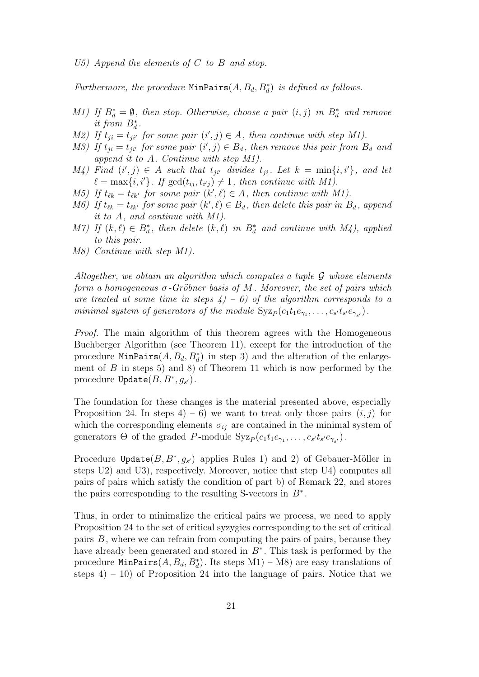Furthermore, the procedure  $MinPairs(A, B_d, B_d^*)$  is defined as follows.

- M1) If  $B_d^* = \emptyset$ , then stop. Otherwise, choose a pair  $(i, j)$  in  $B_d^*$  and remove it from  $B_d^*$ .
- M2) If  $t_{ji} = t_{ji'}$  for some pair  $(i', j) \in A$ , then continue with step M1).
- M3) If  $t_{ji} = t_{ji'}$  for some pair  $(i', j) \in B_d$ , then remove this pair from  $B_d$  and append it to A. Continue with step M1).
- $M_4$ ) Find  $(i', j) \in A$  such that  $t_{ji'}$  divides  $t_{ji}$ . Let  $k = \min\{i, i'\}$ , and let  $\ell = \max\{i, i'\}$ . If  $gcd(t_{ij}, t_{i'j}) \neq 1$ , then continue with M1).
- M5) If  $t_{\ell k} = t_{\ell k'}$  for some pair  $(k', \ell) \in A$ , then continue with M1).
- M6) If  $t_{\ell k} = t_{\ell k'}$  for some pair  $(k', \ell) \in B_d$ , then delete this pair in  $B_d$ , append it to A, and continue with M1).
- M7) If  $(k, \ell) \in B_d^*$ , then delete  $(k, \ell)$  in  $B_d^*$  and continue with  $M_4$ , applied to this pair.
- M8) Continue with step M1).

Altogether, we obtain an algorithm which computes a tuple  $\mathcal G$  whose elements form a homogeneous  $\sigma$ -Gröbner basis of M. Moreover, the set of pairs which are treated at some time in steps  $4$ ) – 6) of the algorithm corresponds to a minimal system of generators of the module  $SyzP(c_1t_1e_{\gamma_1},...,c_{s'}t_{s'}e_{\gamma_{s'}})$ .

Proof. The main algorithm of this theorem agrees with the Homogeneous Buchberger Algorithm (see Theorem 11), except for the introduction of the procedure  $MinPairs(A, B_d, B_d^*)$  in step 3) and the alteration of the enlargement of  $B$  in steps 5) and 8) of Theorem 11 which is now performed by the procedure  $\texttt{Update}(B, B^*, g_{s'})$ .

The foundation for these changes is the material presented above, especially Proposition 24. In steps  $4$ ) – 6) we want to treat only those pairs  $(i, j)$  for which the corresponding elements  $\sigma_{ij}$  are contained in the minimal system of generators  $\Theta$  of the graded P-module  $Syz_P(c_1t_1e_{\gamma_1}, \ldots, c_{s'}t_{s'}e_{\gamma_{s'}})$ .

Procedure Update $(B, B^*, g_{s'})$  applies Rules 1) and 2) of Gebauer-Möller in steps U2) and U3), respectively. Moreover, notice that step U4) computes all pairs of pairs which satisfy the condition of part b) of Remark 22, and stores the pairs corresponding to the resulting S-vectors in  $B^*$ .

Thus, in order to minimalize the critical pairs we process, we need to apply Proposition 24 to the set of critical syzygies corresponding to the set of critical pairs  $B$ , where we can refrain from computing the pairs of pairs, because they have already been generated and stored in  $B^*$ . This task is performed by the procedure  $MinPairs(A, B_d, B_d^*)$ . Its steps M1) – M8) are easy translations of steps  $4$ ) – 10) of Proposition 24 into the language of pairs. Notice that we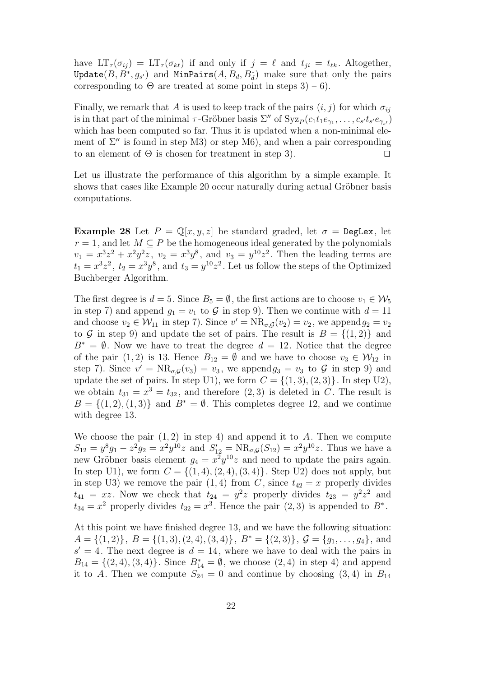have  $LT_{\tau}(\sigma_{ij}) = LT_{\tau}(\sigma_{k\ell})$  if and only if  $j = \ell$  and  $t_{ji} = t_{\ell k}$ . Altogether, Update $(B, B^*, g_{s'})$  and MinPairs $(A, B_d, B_d^*)$  make sure that only the pairs corresponding to  $\Theta$  are treated at some point in steps 3) – 6).

Finally, we remark that A is used to keep track of the pairs  $(i, j)$  for which  $\sigma_{ij}$ is in that part of the minimal  $\tau$ -Gröbner basis  $\Sigma''$  of  $Syz_P(c_1t_1e_{\gamma_1},\ldots,c_{s'}t_{s'}e_{\gamma_{s'}})$ which has been computed so far. Thus it is updated when a non-minimal element of  $\Sigma''$  is found in step M3) or step M6), and when a pair corresponding to an element of  $\Theta$  is chosen for treatment in step 3).

Let us illustrate the performance of this algorithm by a simple example. It shows that cases like Example 20 occur naturally during actual Gröbner basis computations.

**Example 28** Let  $P = \mathbb{Q}[x, y, z]$  be standard graded, let  $\sigma = \text{DegLex}$ , let  $r = 1$ , and let  $M \subseteq P$  be the homogeneous ideal generated by the polynomials  $v_1 = x^3 z^2 + x^2 y^2 z$ ,  $v_2 = x^3 y^8$ , and  $v_3 = y^{10} z^2$ . Then the leading terms are  $t_1 = x^3 z^2$ ,  $t_2 = x^3 y^8$ , and  $t_3 = y^{10} z^2$ . Let us follow the steps of the Optimized Buchberger Algorithm.

The first degree is  $d = 5$ . Since  $B_5 = \emptyset$ , the first actions are to choose  $v_1 \in \mathcal{W}_5$ in step 7) and append  $g_1 = v_1$  to  $\mathcal G$  in step 9). Then we continue with  $d = 11$ and choose  $v_2 \in \mathcal{W}_{11}$  in step 7). Since  $v' = NR_{\sigma,\mathcal{G}}(v_2) = v_2$ , we append  $g_2 = v_2$ to G in step 9) and update the set of pairs. The result is  $B = \{(1,2)\}\$ and  $B^* = \emptyset$ . Now we have to treat the degree  $d = 12$ . Notice that the degree of the pair (1, 2) is 13. Hence  $B_{12} = \emptyset$  and we have to choose  $v_3 \in W_{12}$  in step 7). Since  $v' = NR_{\sigma,\mathcal{G}}(v_3) = v_3$ , we append  $g_3 = v_3$  to  $\mathcal{G}$  in step 9) and update the set of pairs. In step U1), we form  $C = \{(1,3), (2,3)\}$ . In step U2), we obtain  $t_{31} = x^3 = t_{32}$ , and therefore  $(2,3)$  is deleted in C. The result is  $B = \{(1, 2), (1, 3)\}\$ and  $B^* = \emptyset$ . This completes degree 12, and we continue with degree 13.

We choose the pair  $(1, 2)$  in step 4) and append it to A. Then we compute  $S_{12} = y^8 g_1 - z^2 g_2 = x^2 y^{10} z$  and  $S'_{12} = \text{NR}_{\sigma, \mathcal{G}}(S_{12}) = x^2 y^{10} z$ . Thus we have a new Gröbner basis element  $g_4 = x^2 y^{10} z$  and need to update the pairs again. In step U1), we form  $C = \{(1, 4), (2, 4), (3, 4)\}$ . Step U2) does not apply, but in step U3) we remove the pair (1, 4) from C, since  $t_{42} = x$  properly divides  $t_{41} = xz$ . Now we check that  $t_{24} = y^2z$  properly divides  $t_{23} = y^2z^2$  and  $t_{34} = x^2$  properly divides  $t_{32} = x^3$ . Hence the pair  $(2,3)$  is appended to  $B^*$ .

At this point we have finished degree 13, and we have the following situation:  $A = \{(1,2)\}, B = \{(1,3), (2,4), (3,4)\}, B^* = \{(2,3)\}, \mathcal{G} = \{g_1, \ldots, g_4\}, \text{and}$  $s' = 4$ . The next degree is  $d = 14$ , where we have to deal with the pairs in  $B_{14} = \{(2, 4), (3, 4)\}\.$  Since  $B_{14}^* = \emptyset$ , we choose  $(2, 4)$  in step 4) and append it to A. Then we compute  $S_{24} = 0$  and continue by choosing  $(3, 4)$  in  $B_{14}$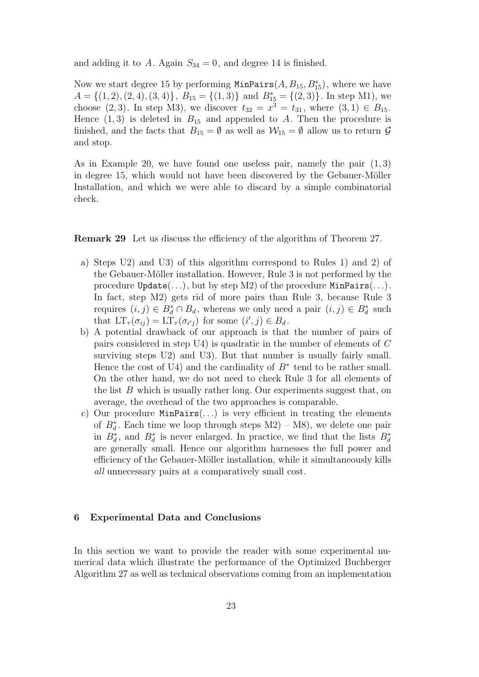and adding it to A. Again  $S_{34} = 0$ , and degree 14 is finished.

Now we start degree 15 by performing  $MinPairs(A, B_{15}, B_{15}^*)$ , where we have  $A = \{(1, 2), (2, 4), (3, 4)\}, B_{15} = \{(1, 3)\}\$ and  $B_{15}^* = \{(2, 3)\}.$  In step M1), we choose  $(2,3)$ . In step M3), we discover  $t_{32} = x^3 = t_{31}$ , where  $(3,1) \in B_{15}$ . Hence  $(1,3)$  is deleted in  $B_{15}$  and appended to A. Then the procedure is finished, and the facts that  $B_{15} = \emptyset$  as well as  $\mathcal{W}_{15} = \emptyset$  allow us to return  $\mathcal G$ and stop.

As in Example 20, we have found one useless pair, namely the pair  $(1, 3)$ in degree 15, which would not have been discovered by the Gebauer-Möller Installation, and which we were able to discard by a simple combinatorial check.

Remark 29 Let us discuss the efficiency of the algorithm of Theorem 27.

- a) Steps U2) and U3) of this algorithm correspond to Rules 1) and 2) of the Gebauer-Möller installation. However, Rule 3 is not performed by the procedure  $Update(...)$ , but by step M2) of the procedure MinPairs $(...)$ . In fact, step M2) gets rid of more pairs than Rule 3, because Rule 3 requires  $(i, j) \in B_d^* \cap B_d$ , whereas we only need a pair  $(i, j) \in B_d^*$  such that  $LT_{\tau}(\sigma_{ij}) = LT_{\tau}(\sigma_{i'j})$  for some  $(i', j) \in B_d$ .
- b) A potential drawback of our approach is that the number of pairs of pairs considered in step U4) is quadratic in the number of elements of C surviving steps U2) and U3). But that number is usually fairly small. Hence the cost of U4) and the cardinality of  $B^*$  tend to be rather small. On the other hand, we do not need to check Rule 3 for all elements of the list  $B$  which is usually rather long. Our experiments suggest that, on average, the overhead of the two approaches is comparable.
- c) Our procedure  $MinPairs(...)$  is very efficient in treating the elements of  $B_d^*$ . Each time we loop through steps M2) – M8), we delete one pair in  $B_d^*$ , and  $B_d^*$  is never enlarged. In practice, we find that the lists  $B_d^*$ are generally small. Hence our algorithm harnesses the full power and efficiency of the Gebauer-Möller installation, while it simultaneously kills all unnecessary pairs at a comparatively small cost.

# 6 Experimental Data and Conclusions

In this section we want to provide the reader with some experimental numerical data which illustrate the performance of the Optimized Buchberger Algorithm 27 as well as technical observations coming from an implementation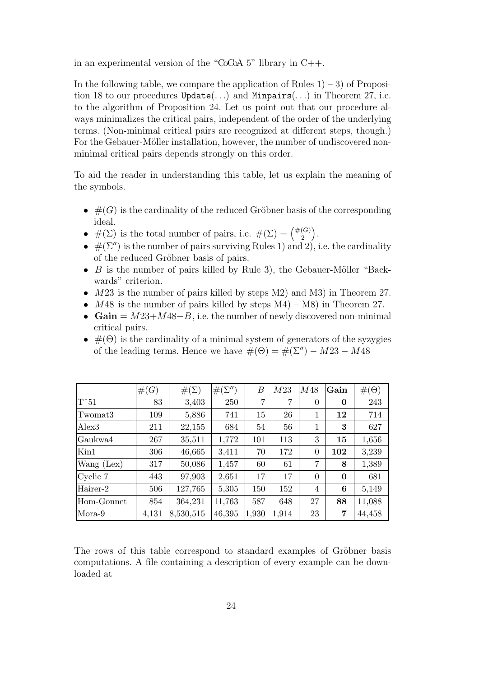in an experimental version of the "CoCoA 5" library in C++.

In the following table, we compare the application of Rules  $1 - 3$  of Proposition 18 to our procedures  $Update(...)$  and  $Minpairs(...)$  in Theorem 27, i.e. to the algorithm of Proposition 24. Let us point out that our procedure always minimalizes the critical pairs, independent of the order of the underlying terms. (Non-minimal critical pairs are recognized at different steps, though.) For the Gebauer-Möller installation, however, the number of undiscovered nonminimal critical pairs depends strongly on this order.

To aid the reader in understanding this table, let us explain the meaning of the symbols.

- $\#(G)$  is the cardinality of the reduced Gröbner basis of the corresponding ideal.
- $\#(\Sigma)$  is the total number of pairs, i.e.  $\#(\Sigma) = \begin{pmatrix} \#(G) \\ 2 \end{pmatrix}$ 2  $\big).$
- $\#(\Sigma'')$  is the number of pairs surviving Rules 1) and 2), i.e. the cardinality of the reduced Gröbner basis of pairs.
- $B$  is the number of pairs killed by Rule 3), the Gebauer-Möller "Backwards" criterion.
- M23 is the number of pairs killed by steps M2) and M3) in Theorem 27.
- $M48$  is the number of pairs killed by steps  $M4$ ) M8) in Theorem 27.
- Gain  $= M23+M48-B$ , i.e. the number of newly discovered non-minimal critical pairs.
- $\#(\Theta)$  is the cardinality of a minimal system of generators of the syzygies of the leading terms. Hence we have  $\#(\Theta) = \#(\Sigma'') - M23 - M48$

|                     | #(G)  | $\#(\Sigma)$ | $#(\Sigma'')$ | В              | M23   | M48            | $ _{\mathbf{Gain}}$ | $\#(\Theta)$ |
|---------------------|-------|--------------|---------------|----------------|-------|----------------|---------------------|--------------|
| $\Gamma$ 51         | 83    | 3,403        | 250           | $\overline{7}$ | 7     | $\Omega$       | 0                   | 243          |
| Twomat <sub>3</sub> | 109   | 5,886        | 741           | 15             | 26    | 1              | 12                  | 714          |
| Alex3               | 211   | 22,155       | 684           | 54             | 56    | 1              | 3                   | 627          |
| Gaukwa4             | 267   | 35,511       | 1,772         | 101            | 113   | 3              | 15                  | 1,656        |
| Kin1                | 306   | 46,665       | 3,411         | 70             | 172   | $\theta$       | 102                 | 3,239        |
| $\text{Wang (Lex)}$ | 317   | 50,086       | 1,457         | 60             | 61    | 7              | 8                   | 1,389        |
| Cyclic 7            | 443   | 97,903       | 2,651         | 17             | 17    | $\theta$       | $\mathbf{0}$        | 681          |
| Hairer-2            | 506   | 127,765      | 5,305         | 150            | 152   | $\overline{4}$ | 6                   | 5,149        |
| Hom-Gonnet          | 854   | 364,231      | 11,763        | 587            | 648   | 27             | 88                  | 11,088       |
| Mora-9              | 4,131 | 8,530,515    | 46,395        | 1,930          | 1,914 | 23             | 7                   | 44,458       |

The rows of this table correspond to standard examples of Gröbner basis computations. A file containing a description of every example can be downloaded at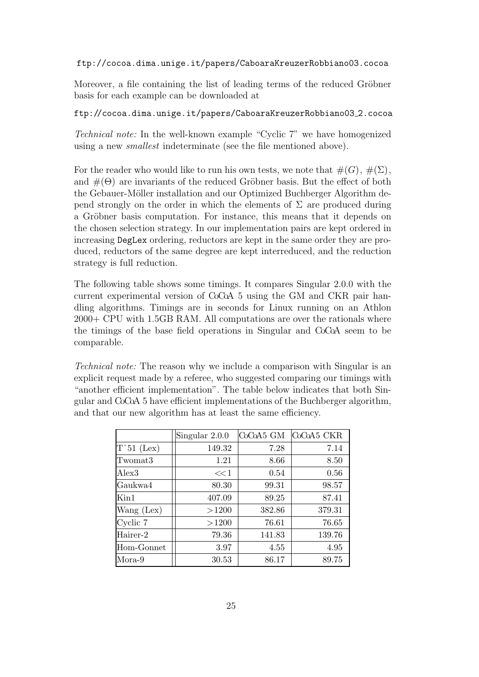ftp://cocoa.dima.unige.it/papers/CaboaraKreuzerRobbiano03.cocoa

Moreover, a file containing the list of leading terms of the reduced Gröbner basis for each example can be downloaded at

# ftp://cocoa.dima.unige.it/papers/CaboaraKreuzerRobbiano03 2.cocoa

Technical note: In the well-known example "Cyclic 7" we have homogenized using a new smallest indeterminate (see the file mentioned above).

For the reader who would like to run his own tests, we note that  $\#(G)$ ,  $\#(\Sigma)$ , and  $\#(\Theta)$  are invariants of the reduced Gröbner basis. But the effect of both the Gebauer-Möller installation and our Optimized Buchberger Algorithm depend strongly on the order in which the elements of  $\Sigma$  are produced during a Gröbner basis computation. For instance, this means that it depends on the chosen selection strategy. In our implementation pairs are kept ordered in increasing DegLex ordering, reductors are kept in the same order they are produced, reductors of the same degree are kept interreduced, and the reduction strategy is full reduction.

The following table shows some timings. It compares Singular 2.0.0 with the current experimental version of CoCoA 5 using the GM and CKR pair handling algorithms. Timings are in seconds for Linux running on an Athlon 2000+ CPU with 1.5GB RAM. All computations are over the rationals where the timings of the base field operations in Singular and CoCoA seem to be comparable.

Technical note: The reason why we include a comparison with Singular is an explicit request made by a referee, who suggested comparing our timings with "another efficient implementation". The table below indicates that both Singular and CoCoA 5 have efficient implementations of the Buchberger algorithm, and that our new algorithm has at least the same efficiency.

|                       | $\text{Singular } 2.0.0$ | CoCoA5 GM | CoCoA5 CKR |
|-----------------------|--------------------------|-----------|------------|
| $T^{\texttt{1}}(Lex)$ | 149.32                   | 7.28      | 7.14       |
| Twomat3               | 1.21                     | 8.66      | 8.50       |
| Alex <sub>3</sub>     | << 1                     | 0.54      | 0.56       |
| Gaukwa4               | 80.30                    | 99.31     | 98.57      |
| $\operatorname{Kin}1$ | 407.09                   | 89.25     | 87.41      |
| Wang (Lex)            | >1200                    | 382.86    | 379.31     |
| Cyclic 7              | >1200                    | 76.61     | 76.65      |
| Hairer-2              | 79.36                    | 141.83    | 139.76     |
| Hom-Gonnet            | 3.97                     | 4.55      | 4.95       |
| Mora-9                | 30.53                    | 86.17     | 89.75      |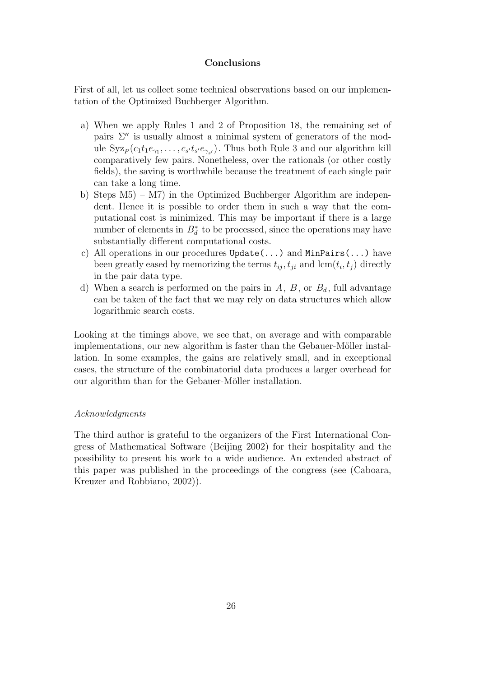## **Conclusions**

First of all, let us collect some technical observations based on our implementation of the Optimized Buchberger Algorithm.

- a) When we apply Rules 1 and 2 of Proposition 18, the remaining set of pairs  $\Sigma''$  is usually almost a minimal system of generators of the module  $Syz_P(c_1t_1e_{\gamma_1}, \ldots, c_{s'}t_{s'}e_{\gamma_{s'}})$ . Thus both Rule 3 and our algorithm kill comparatively few pairs. Nonetheless, over the rationals (or other costly fields), the saving is worthwhile because the treatment of each single pair can take a long time.
- b) Steps M5) M7) in the Optimized Buchberger Algorithm are independent. Hence it is possible to order them in such a way that the computational cost is minimized. This may be important if there is a large number of elements in  $B_d^*$  to be processed, since the operations may have substantially different computational costs.
- c) All operations in our procedures Update(...) and MinPairs(...) have been greatly eased by memorizing the terms  $t_{ij}$ ,  $t_{ji}$  and lcm $(t_i, t_j)$  directly in the pair data type.
- d) When a search is performed on the pairs in  $A, B$ , or  $B_d$ , full advantage can be taken of the fact that we may rely on data structures which allow logarithmic search costs.

Looking at the timings above, we see that, on average and with comparable implementations, our new algorithm is faster than the Gebauer-Möller installation. In some examples, the gains are relatively small, and in exceptional cases, the structure of the combinatorial data produces a larger overhead for our algorithm than for the Gebauer-Möller installation.

#### Acknowledgments

The third author is grateful to the organizers of the First International Congress of Mathematical Software (Beijing 2002) for their hospitality and the possibility to present his work to a wide audience. An extended abstract of this paper was published in the proceedings of the congress (see (Caboara, Kreuzer and Robbiano, 2002)).